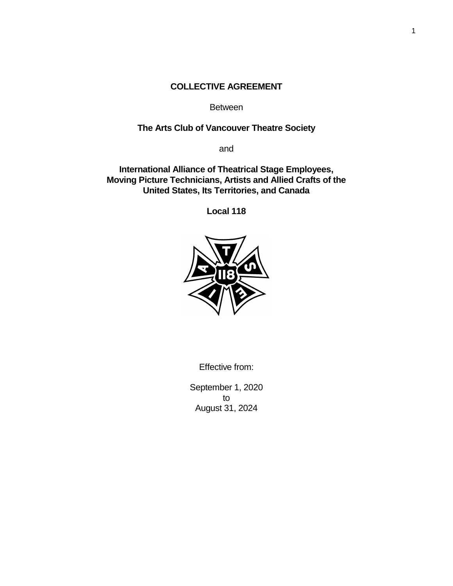# **COLLECTIVE AGREEMENT**

Between

# **The Arts Club of Vancouver Theatre Society**

and

**International Alliance of Theatrical Stage Employees, Moving Picture Technicians, Artists and Allied Crafts of the United States, Its Territories, and Canada**

**Local 118**



Effective from:

September 1, 2020 to August 31, 2024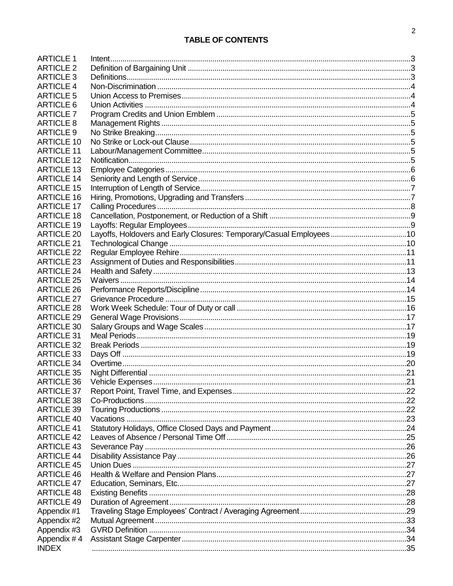| <b>ARTICLE 1</b>  |                                                                     |  |
|-------------------|---------------------------------------------------------------------|--|
| <b>ARTICLE 2</b>  |                                                                     |  |
| <b>ARTICLE 3</b>  |                                                                     |  |
| <b>ARTICLE 4</b>  |                                                                     |  |
| <b>ARTICLE 5</b>  |                                                                     |  |
| ARTICLE 6         |                                                                     |  |
| <b>ARTICLE 7</b>  |                                                                     |  |
| <b>ARTICLE 8</b>  |                                                                     |  |
| ARTICLE 9         |                                                                     |  |
| <b>ARTICLE 10</b> |                                                                     |  |
| <b>ARTICLE 11</b> |                                                                     |  |
| <b>ARTICLE 12</b> |                                                                     |  |
| <b>ARTICLE 13</b> |                                                                     |  |
| <b>ARTICLE 14</b> |                                                                     |  |
| <b>ARTICLE 15</b> |                                                                     |  |
| ARTICLE 16        |                                                                     |  |
| <b>ARTICLE 17</b> |                                                                     |  |
| <b>ARTICLE 18</b> |                                                                     |  |
| ARTICLE 19        |                                                                     |  |
| <b>ARTICLE 20</b> | Layoffs, Holdovers and Early Closures: Temporary/Casual Employees10 |  |
| <b>ARTICLE 21</b> |                                                                     |  |
| <b>ARTICLE 22</b> |                                                                     |  |
| <b>ARTICLE 23</b> |                                                                     |  |
| <b>ARTICLE 24</b> |                                                                     |  |
| <b>ARTICLE 25</b> |                                                                     |  |
| <b>ARTICLE 26</b> |                                                                     |  |
| <b>ARTICLE 27</b> |                                                                     |  |
| <b>ARTICLE 28</b> |                                                                     |  |
| <b>ARTICLE 29</b> |                                                                     |  |
| <b>ARTICLE 30</b> |                                                                     |  |
| <b>ARTICLE 31</b> |                                                                     |  |
| <b>ARTICLE 32</b> |                                                                     |  |
| <b>ARTICLE 33</b> |                                                                     |  |
| <b>ARTICLE 34</b> |                                                                     |  |
| <b>ARTICLE 35</b> |                                                                     |  |
| <b>ARTICLE 36</b> |                                                                     |  |
| <b>ARTICLE 37</b> |                                                                     |  |
| <b>ARTICLE 38</b> |                                                                     |  |
| <b>ARTICLE 39</b> |                                                                     |  |
| <b>ARTICLE 40</b> |                                                                     |  |
| <b>ARTICLE 41</b> |                                                                     |  |
| <b>ARTICLE 42</b> |                                                                     |  |
| <b>ARTICLE 43</b> |                                                                     |  |
| <b>ARTICLE 44</b> |                                                                     |  |
| <b>ARTICLE 45</b> |                                                                     |  |
| <b>ARTICLE 46</b> |                                                                     |  |
| <b>ARTICLE 47</b> |                                                                     |  |
| <b>ARTICLE 48</b> |                                                                     |  |
| <b>ARTICLE 49</b> |                                                                     |  |
| Appendix #1       |                                                                     |  |
| Appendix #2       |                                                                     |  |
| Appendix #3       |                                                                     |  |
| Appendix #4       |                                                                     |  |
| <b>INDEX</b>      |                                                                     |  |
|                   |                                                                     |  |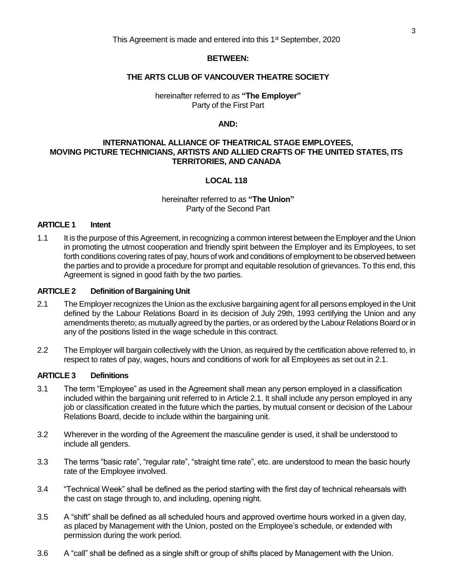### **BETWEEN:**

#### **THE ARTS CLUB OF VANCOUVER THEATRE SOCIETY**

#### hereinafter referred to as **"The Employer"** Party of the First Part

#### **AND:**

## **INTERNATIONAL ALLIANCE OF THEATRICAL STAGE EMPLOYEES, MOVING PICTURE TECHNICIANS, ARTISTS AND ALLIED CRAFTS OF THE UNITED STATES, ITS TERRITORIES, AND CANADA**

# **LOCAL 118**

## hereinafter referred to as **"The Union"** Party of the Second Part

## **ARTICLE 1 Intent**

1.1 It is the purpose of this Agreement, in recognizing a common interest between the Employer and the Union in promoting the utmost cooperation and friendly spirit between the Employer and its Employees, to set forth conditions covering rates of pay, hours of work and conditions of employment to be observed between the parties and to provide a procedure for prompt and equitable resolution of grievances. To this end, this Agreement is signed in good faith by the two parties.

## **ARTICLE 2 Definition of Bargaining Unit**

- 2.1 The Employer recognizes the Union as the exclusive bargaining agent for all persons employed in the Unit defined by the Labour Relations Board in its decision of July 29th, 1993 certifying the Union and any amendments thereto; as mutually agreed by the parties, or as ordered by the Labour Relations Board or in any of the positions listed in the wage schedule in this contract.
- 2.2 The Employer will bargain collectively with the Union, as required by the certification above referred to, in respect to rates of pay, wages, hours and conditions of work for all Employees as set out in 2.1.

#### **ARTICLE 3 Definitions**

- 3.1 The term "Employee" as used in the Agreement shall mean any person employed in a classification included within the bargaining unit referred to in Article 2.1. It shall include any person employed in any job or classification created in the future which the parties, by mutual consent or decision of the Labour Relations Board, decide to include within the bargaining unit.
- 3.2 Wherever in the wording of the Agreement the masculine gender is used, it shall be understood to include all genders.
- 3.3 The terms "basic rate", "regular rate", "straight time rate", etc. are understood to mean the basic hourly rate of the Employee involved.
- 3.4 "Technical Week" shall be defined as the period starting with the first day of technical rehearsals with the cast on stage through to, and including, opening night.
- 3.5 A "shift" shall be defined as all scheduled hours and approved overtime hours worked in a given day, as placed by Management with the Union, posted on the Employee's schedule, or extended with permission during the work period.
- 3.6 A "call" shall be defined as a single shift or group of shifts placed by Management with the Union.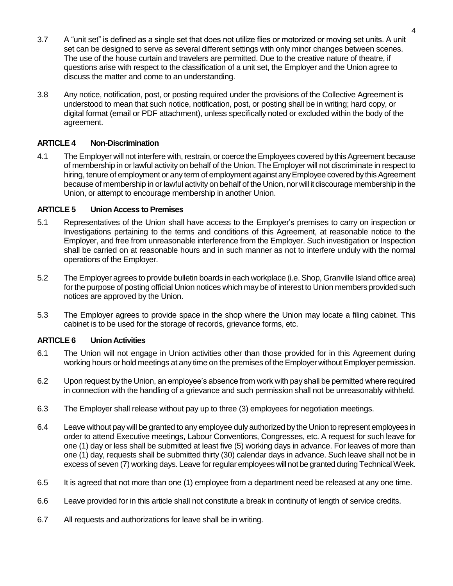- 3.7 A "unit set" is defined as a single set that does not utilize flies or motorized or moving set units. A unit set can be designed to serve as several different settings with only minor changes between scenes. The use of the house curtain and travelers are permitted. Due to the creative nature of theatre, if questions arise with respect to the classification of a unit set, the Employer and the Union agree to discuss the matter and come to an understanding.
- 3.8 Any notice, notification, post, or posting required under the provisions of the Collective Agreement is understood to mean that such notice, notification, post, or posting shall be in writing; hard copy, or digital format (email or PDF attachment), unless specifically noted or excluded within the body of the agreement.

# **ARTICLE 4 Non-Discrimination**

4.1 The Employer will not interfere with, restrain, or coerce the Employees covered by this Agreement because of membership in or lawful activity on behalf of the Union. The Employer will not discriminate in respect to hiring, tenure of employment or any term of employment against any Employee covered by this Agreement because of membership in or lawful activity on behalf of the Union, nor will it discourage membership in the Union, or attempt to encourage membership in another Union.

# **ARTICLE 5 Union Access to Premises**

- 5.1 Representatives of the Union shall have access to the Employer's premises to carry on inspection or Investigations pertaining to the terms and conditions of this Agreement, at reasonable notice to the Employer, and free from unreasonable interference from the Employer. Such investigation or Inspection shall be carried on at reasonable hours and in such manner as not to interfere unduly with the normal operations of the Employer.
- 5.2 The Employer agrees to provide bulletin boards in each workplace (i.e. Shop, Granville Island office area) for the purpose of posting official Union notices which may be of interest to Union members provided such notices are approved by the Union.
- 5.3 The Employer agrees to provide space in the shop where the Union may locate a filing cabinet. This cabinet is to be used for the storage of records, grievance forms, etc.

## **ARTICLE 6 Union Activities**

- 6.1 The Union will not engage in Union activities other than those provided for in this Agreement during working hours or hold meetings at any time on the premises of the Employer without Employer permission.
- 6.2 Upon request by the Union, an employee's absence from work with pay shall be permitted where required in connection with the handling of a grievance and such permission shall not be unreasonably withheld.
- 6.3 The Employer shall release without pay up to three (3) employees for negotiation meetings.
- 6.4 Leave without pay will be granted to any employee duly authorized by the Union to represent employees in order to attend Executive meetings, Labour Conventions, Congresses, etc. A request for such leave for one (1) day or less shall be submitted at least five (5) working days in advance. For leaves of more than one (1) day, requests shall be submitted thirty (30) calendar days in advance. Such leave shall not be in excess of seven (7) working days. Leave for regular employees will not be granted during Technical Week.
- 6.5 It is agreed that not more than one (1) employee from a department need be released at any one time.
- 6.6 Leave provided for in this article shall not constitute a break in continuity of length of service credits.
- 6.7 All requests and authorizations for leave shall be in writing.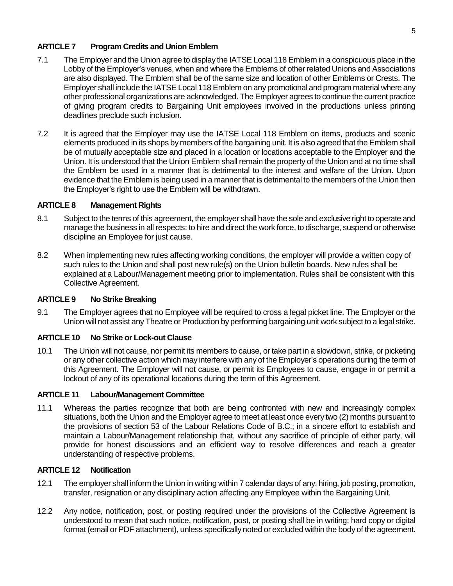# **ARTICLE 7 Program Credits and Union Emblem**

- 7.1 The Employer and the Union agree to display the IATSE Local 118 Emblem in a conspicuous place in the Lobby of the Employer's venues, when and where the Emblems of other related Unions and Associations are also displayed. The Emblem shall be of the same size and location of other Emblems or Crests. The Employer shall include the IATSE Local 118 Emblem on any promotional and program material where any other professional organizations are acknowledged. The Employer agrees to continue the current practice of giving program credits to Bargaining Unit employees involved in the productions unless printing deadlines preclude such inclusion.
- 7.2 It is agreed that the Employer may use the IATSE Local 118 Emblem on items, products and scenic elements produced in its shops by members of the bargaining unit. It is also agreed that the Emblem shall be of mutually acceptable size and placed in a location or locations acceptable to the Employer and the Union. It is understood that the Union Emblem shall remain the property of the Union and at no time shall the Emblem be used in a manner that is detrimental to the interest and welfare of the Union. Upon evidence that the Emblem is being used in a manner that is detrimental to the members of the Union then the Employer's right to use the Emblem will be withdrawn.

## **ARTICLE 8 Management Rights**

- 8.1 Subject to the terms of this agreement, the employer shall have the sole and exclusive right to operate and manage the business in all respects: to hire and direct the work force, to discharge, suspend or otherwise discipline an Employee for just cause.
- 8.2 When implementing new rules affecting working conditions, the employer will provide a written copy of such rules to the Union and shall post new rule(s) on the Union bulletin boards. New rules shall be explained at a Labour/Management meeting prior to implementation. Rules shall be consistent with this Collective Agreement.

## **ARTICLE 9 No Strike Breaking**

9.1 The Employer agrees that no Employee will be required to cross a legal picket line. The Employer or the Union will not assist any Theatre or Production by performing bargaining unit work subject to a legal strike.

# **ARTICLE 10 No Strike or Lock-out Clause**

10.1 The Union will not cause, nor permit its members to cause, or take part in a slowdown, strike, or picketing or any other collective action which may interfere with any of the Employer's operations during the term of this Agreement. The Employer will not cause, or permit its Employees to cause, engage in or permit a lockout of any of its operational locations during the term of this Agreement.

## **ARTICLE 11 Labour/Management Committee**

11.1 Whereas the parties recognize that both are being confronted with new and increasingly complex situations, both the Union and the Employer agree to meet at least once every two (2) months pursuant to the provisions of section 53 of the Labour Relations Code of B.C.; in a sincere effort to establish and maintain a Labour/Management relationship that, without any sacrifice of principle of either party, will provide for honest discussions and an efficient way to resolve differences and reach a greater understanding of respective problems.

## **ARTICLE 12 Notification**

- 12.1 The employer shall inform the Union in writing within 7 calendar days of any: hiring, job posting, promotion, transfer, resignation or any disciplinary action affecting any Employee within the Bargaining Unit.
- 12.2 Any notice, notification, post, or posting required under the provisions of the Collective Agreement is understood to mean that such notice, notification, post, or posting shall be in writing; hard copy or digital format (email or PDF attachment), unless specifically noted or excluded within the body of the agreement.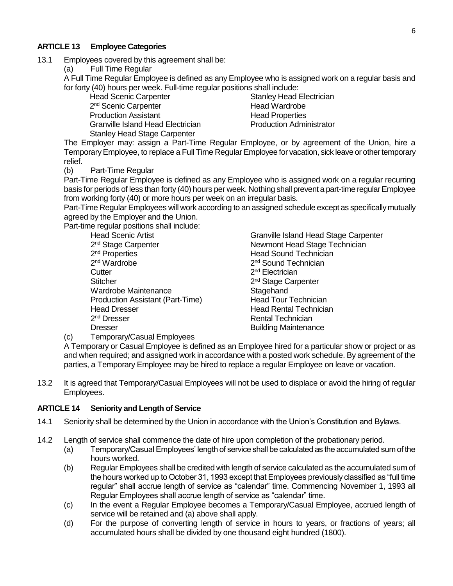## **ARTICLE 13 Employee Categories**

13.1 Employees covered by this agreement shall be:

(a) Full Time Regular

A Full Time Regular Employee is defined as any Employee who is assigned work on a regular basis and for forty (40) hours per week. Full-time regular positions shall include:

Head Scenic Carpenter Stanley Head Electrician 2<sup>nd</sup> Scenic Carpenter **Exercise Scenic Carpenter Head Wardrobe Production Assistant Contract Contract Properties** Granville Island Head Electrician **Production Administrator** Stanley Head Stage Carpenter

The Employer may: assign a Part-Time Regular Employee, or by agreement of the Union, hire a Temporary Employee, to replace a Full Time Regular Employee for vacation, sick leave or other temporary relief.

## (b) Part-Time Regular

Part-Time Regular Employee is defined as any Employee who is assigned work on a regular recurring basis for periods of less than forty (40) hours per week. Nothing shall prevent a part-time regular Employee from working forty (40) or more hours per week on an irregular basis.

Part-Time Regular Employees will work according to an assigned schedule except as specifically mutually agreed by the Employer and the Union.

Part-time regular positions shall include:

| <b>Head Scenic Artist</b>        | G |
|----------------------------------|---|
| 2 <sup>nd</sup> Stage Carpenter  |   |
| 2 <sup>nd</sup> Properties       | Н |
| 2 <sup>nd</sup> Wardrobe         | 2 |
| Cutter                           | 2 |
| <b>Stitcher</b>                  | 2 |
| Wardrobe Maintenance             | S |
| Production Assistant (Part-Time) | Н |
| <b>Head Dresser</b>              | Н |
| 2 <sup>nd</sup> Dresser          | R |
| <b>Dresser</b>                   | B |

Granville Island Head Stage Carpenter Newmont Head Stage Technician Head Sound Technician 2<sup>nd</sup> Sound Technician 2<sup>nd</sup> Electrician 2<sup>nd</sup> Stage Carpenter Stagehand Head Tour Technician Head Rental Technician Rental Technician **Building Maintenance** 

(c) Temporary/Casual Employees

A Temporary or Casual Employee is defined as an Employee hired for a particular show or project or as and when required; and assigned work in accordance with a posted work schedule. By agreement of the parties, a Temporary Employee may be hired to replace a regular Employee on leave or vacation.

13.2 It is agreed that Temporary/Casual Employees will not be used to displace or avoid the hiring of regular Employees.

## **ARTICLE 14 Seniority and Length of Service**

- 14.1 Seniority shall be determined by the Union in accordance with the Union's Constitution and Bylaws.
- 14.2 Length of service shall commence the date of hire upon completion of the probationary period.
	- (a) Temporary/Casual Employees' length of service shall be calculated as the accumulated sum of the hours worked.
	- (b) Regular Employees shall be credited with length of service calculated as the accumulated sum of the hours worked up to October 31, 1993 except that Employees previously classified as "full time regular" shall accrue length of service as "calendar" time. Commencing November 1, 1993 all Regular Employees shall accrue length of service as "calendar" time.
	- (c) In the event a Regular Employee becomes a Temporary/Casual Employee, accrued length of service will be retained and (a) above shall apply.
	- (d) For the purpose of converting length of service in hours to years, or fractions of years; all accumulated hours shall be divided by one thousand eight hundred (1800).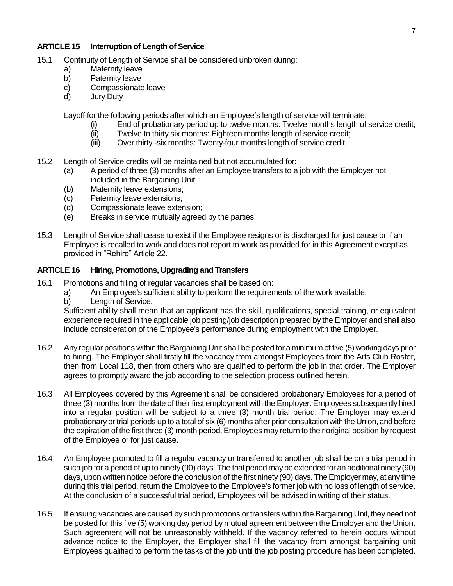## **ARTICLE 15 Interruption of Length of Service**

- 15.1 Continuity of Length of Service shall be considered unbroken during:
	- a) Maternity leave
	- b) Paternity leave
	- c) Compassionate leave
	- d) Jury Duty

Layoff for the following periods after which an Employee's length of service will terminate:

- (i) End of probationary period up to twelve months: Twelve months length of service credit;
- (ii) Twelve to thirty six months: Eighteen months length of service credit;
- (iii) Over thirty -six months: Twenty-four months length of service credit.
- 15.2 Length of Service credits will be maintained but not accumulated for:
	- (a) A period of three (3) months after an Employee transfers to a job with the Employer not included in the Bargaining Unit;
	- (b) Maternity leave extensions;
	- (c) Paternity leave extensions;
	- (d) Compassionate leave extension;
	- (e) Breaks in service mutually agreed by the parties.
- 15.3 Length of Service shall cease to exist if the Employee resigns or is discharged for just cause or if an Employee is recalled to work and does not report to work as provided for in this Agreement except as provided in "Rehire" Article 22.

## **ARTICLE 16 Hiring, Promotions, Upgrading and Transfers**

- 16.1 Promotions and filling of regular vacancies shall be based on:
	- a) An Employee's sufficient ability to perform the requirements of the work available;
	- b) Length of Service.

Sufficient ability shall mean that an applicant has the skill, qualifications, special training, or equivalent experience required in the applicable job posting/job description prepared by the Employer and shall also include consideration of the Employee's performance during employment with the Employer.

- 16.2 Any regular positions within the Bargaining Unit shall be posted for a minimum of five (5) working days prior to hiring. The Employer shall firstly fill the vacancy from amongst Employees from the Arts Club Roster, then from Local 118, then from others who are qualified to perform the job in that order. The Employer agrees to promptly award the job according to the selection process outlined herein.
- 16.3 All Employees covered by this Agreement shall be considered probationary Employees for a period of three (3) months from the date of their first employment with the Employer. Employees subsequently hired into a regular position will be subject to a three (3) month trial period. The Employer may extend probationary or trial periods up to a total of six (6) months after prior consultation with the Union, and before the expiration of the first three (3) month period. Employees may return to their original position by request of the Employee or for just cause.
- 16.4 An Employee promoted to fill a regular vacancy or transferred to another job shall be on a trial period in such job for a period of up to ninety (90) days. The trial period may be extended for an additional ninety (90) days, upon written notice before the conclusion of the first ninety (90) days. The Employer may, at any time during this trial period, return the Employee to the Employee's former job with no loss of length of service. At the conclusion of a successful trial period, Employees will be advised in writing of their status.
- 16.5 If ensuing vacancies are caused by such promotions or transfers within the Bargaining Unit, they need not be posted for this five (5) working day period by mutual agreement between the Employer and the Union. Such agreement will not be unreasonably withheld. If the vacancy referred to herein occurs without advance notice to the Employer, the Employer shall fill the vacancy from amongst bargaining unit Employees qualified to perform the tasks of the job until the job posting procedure has been completed.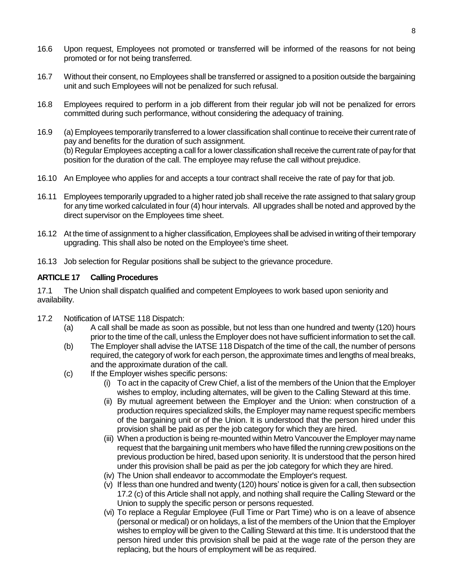- 16.6 Upon request, Employees not promoted or transferred will be informed of the reasons for not being promoted or for not being transferred.
- 16.7 Without their consent, no Employees shall be transferred or assigned to a position outside the bargaining unit and such Employees will not be penalized for such refusal.
- 16.8 Employees required to perform in a job different from their regular job will not be penalized for errors committed during such performance, without considering the adequacy of training.
- 16.9 (a) Employees temporarily transferred to a lower classification shall continue to receive their current rate of pay and benefits for the duration of such assignment. (b) Regular Employees accepting a call for a lower classification shall receive the current rate of pay for that position for the duration of the call. The employee may refuse the call without prejudice.
- 16.10 An Employee who applies for and accepts a tour contract shall receive the rate of pay for that job.
- 16.11 Employees temporarily upgraded to a higher rated job shall receive the rate assigned to that salary group for any time worked calculated in four (4) hour intervals. All upgrades shall be noted and approved by the direct supervisor on the Employees time sheet.
- 16.12 At the time of assignment to a higher classification, Employees shall be advised in writing of their temporary upgrading. This shall also be noted on the Employee's time sheet.
- 16.13 Job selection for Regular positions shall be subject to the grievance procedure.

## **ARTICLE 17 Calling Procedures**

17.1 The Union shall dispatch qualified and competent Employees to work based upon seniority and availability.

- 17.2 Notification of IATSE 118 Dispatch:
	- (a) A call shall be made as soon as possible, but not less than one hundred and twenty (120) hours prior to the time of the call, unless the Employer does not have sufficient information to set the call.
	- (b) The Employer shall advise the IATSE 118 Dispatch of the time of the call, the number of persons required, the category of work for each person, the approximate times and lengths of meal breaks, and the approximate duration of the call.
	- (c) If the Employer wishes specific persons:
		- (i) To act in the capacity of Crew Chief, a list of the members of the Union that the Employer wishes to employ, including alternates, will be given to the Calling Steward at this time.
		- (ii) By mutual agreement between the Employer and the Union: when construction of a production requires specialized skills, the Employer may name request specific members of the bargaining unit or of the Union. It is understood that the person hired under this provision shall be paid as per the job category for which they are hired.
		- (iii) When a production is being re-mounted within Metro Vancouver the Employer may name request that the bargaining unit members who have filled the running crew positions on the previous production be hired, based upon seniority. It is understood that the person hired under this provision shall be paid as per the job category for which they are hired.
		- (iv) The Union shall endeavor to accommodate the Employer's request.
		- (v) If less than one hundred and twenty (120) hours' notice is given for a call, then subsection 17.2 (c) of this Article shall not apply, and nothing shall require the Calling Steward or the Union to supply the specific person or persons requested.
		- (vi) To replace a Regular Employee (Full Time or Part Time) who is on a leave of absence (personal or medical) or on holidays, a list of the members of the Union that the Employer wishes to employ will be given to the Calling Steward at this time. It is understood that the person hired under this provision shall be paid at the wage rate of the person they are replacing, but the hours of employment will be as required.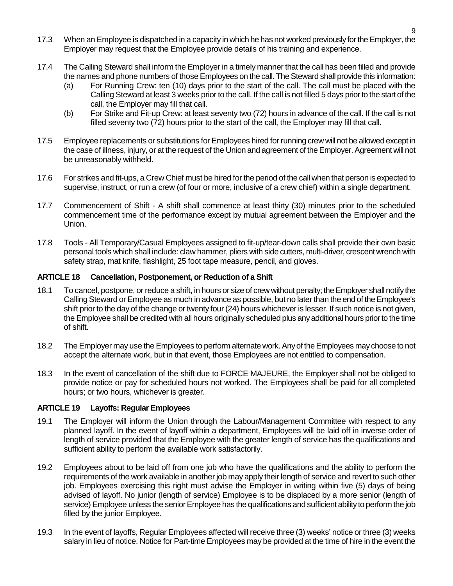- 17.3 When an Employee is dispatched in a capacity in which he has not worked previously for the Employer, the Employer may request that the Employee provide details of his training and experience.
- 17.4 The Calling Steward shall inform the Employer in a timely manner that the call has been filled and provide the names and phone numbers of those Employees on the call. The Steward shall provide this information:
	- (a) For Running Crew: ten (10) days prior to the start of the call. The call must be placed with the Calling Steward at least 3 weeks prior to the call. If the call is not filled 5 days prior to the start of the call, the Employer may fill that call.
	- (b) For Strike and Fit-up Crew: at least seventy two (72) hours in advance of the call. If the call is not filled seventy two (72) hours prior to the start of the call, the Employer may fill that call.
- 17.5 Employee replacements or substitutions for Employees hired for running crew will not be allowed except in the case of illness, injury, or at the request of the Union and agreement of the Employer. Agreement will not be unreasonably withheld.
- 17.6 For strikes and fit-ups, a Crew Chief must be hired for the period of the call when that person is expected to supervise, instruct, or run a crew (of four or more, inclusive of a crew chief) within a single department.
- 17.7 Commencement of Shift A shift shall commence at least thirty (30) minutes prior to the scheduled commencement time of the performance except by mutual agreement between the Employer and the Union.
- 17.8 Tools All Temporary/Casual Employees assigned to fit-up/tear-down calls shall provide their own basic personal tools which shall include: claw hammer, pliers with side cutters, multi-driver, crescent wrench with safety strap, mat knife, flashlight, 25 foot tape measure, pencil, and gloves.

# **ARTICLE 18 Cancellation, Postponement, or Reduction of a Shift**

- 18.1 To cancel, postpone, or reduce a shift, in hours or size of crew without penalty; the Employer shall notify the Calling Steward or Employee as much in advance as possible, but no later than the end of the Employee's shift prior to the day of the change or twenty four (24) hours whichever is lesser. If such notice is not given, the Employee shall be credited with all hours originally scheduled plus any additional hours prior to the time of shift.
- 18.2 The Employer may use the Employees to perform alternate work. Any of the Employees may choose to not accept the alternate work, but in that event, those Employees are not entitled to compensation.
- 18.3 In the event of cancellation of the shift due to FORCE MAJEURE, the Employer shall not be obliged to provide notice or pay for scheduled hours not worked. The Employees shall be paid for all completed hours; or two hours, whichever is greater.

## **ARTICLE 19 Layoffs: Regular Employees**

- 19.1 The Employer will inform the Union through the Labour/Management Committee with respect to any planned layoff. In the event of layoff within a department, Employees will be laid off in inverse order of length of service provided that the Employee with the greater length of service has the qualifications and sufficient ability to perform the available work satisfactorily.
- 19.2 Employees about to be laid off from one job who have the qualifications and the ability to perform the requirements of the work available in another job may apply their length of service and revert to such other job. Employees exercising this right must advise the Employer in writing within five (5) days of being advised of layoff. No junior (length of service) Employee is to be displaced by a more senior (length of service) Employee unless the senior Employee has the qualifications and sufficient ability to perform the job filled by the junior Employee.
- 19.3 In the event of layoffs, Regular Employees affected will receive three (3) weeks' notice or three (3) weeks salary in lieu of notice. Notice for Part-time Employees may be provided at the time of hire in the event the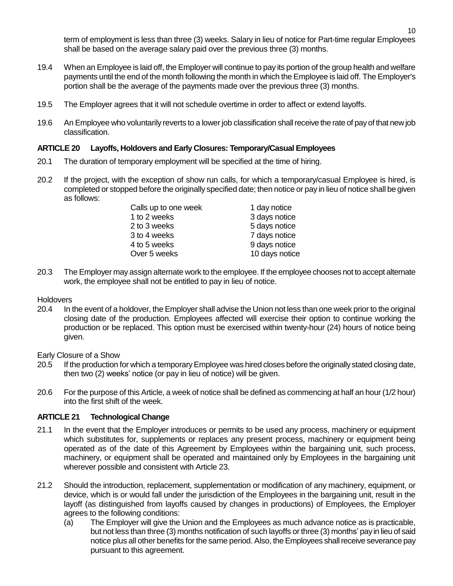term of employment is less than three (3) weeks. Salary in lieu of notice for Part-time regular Employees shall be based on the average salary paid over the previous three (3) months.

- 19.4 When an Employee is laid off, the Employer will continue to pay its portion of the group health and welfare payments until the end of the month following the month in which the Employee is laid off. The Employer's portion shall be the average of the payments made over the previous three (3) months.
- 19.5 The Employer agrees that it will not schedule overtime in order to affect or extend layoffs.
- 19.6 An Employee who voluntarily reverts to a lower job classification shall receive the rate of pay of that new job classification.

# **ARTICLE 20 Layoffs, Holdovers and Early Closures: Temporary/Casual Employees**

- 20.1 The duration of temporary employment will be specified at the time of hiring.
- 20.2 If the project, with the exception of show run calls, for which a temporary/casual Employee is hired, is completed or stopped before the originally specified date; then notice or pay in lieu of notice shall be given as follows:

| Calls up to one week | 1 day notice   |
|----------------------|----------------|
| 1 to 2 weeks         | 3 days notice  |
| 2 to 3 weeks         | 5 days notice  |
| 3 to 4 weeks         | 7 days notice  |
| 4 to 5 weeks         | 9 days notice  |
| Over 5 weeks         | 10 days notice |
|                      |                |

20.3 The Employer may assign alternate work to the employee. If the employee chooses not to accept alternate work, the employee shall not be entitled to pay in lieu of notice.

## Holdovers

20.4 In the event of a holdover, the Employer shall advise the Union not less than one week prior to the original closing date of the production. Employees affected will exercise their option to continue working the production or be replaced. This option must be exercised within twenty-hour (24) hours of notice being given.

Early Closure of a Show

- 20.5 If the production for which a temporary Employee was hired closes before the originally stated closing date, then two (2) weeks' notice (or pay in lieu of notice) will be given.
- 20.6 For the purpose of this Article, a week of notice shall be defined as commencing at half an hour (1/2 hour) into the first shift of the week.

# **ARTICLE 21 Technological Change**

- 21.1 In the event that the Employer introduces or permits to be used any process, machinery or equipment which substitutes for, supplements or replaces any present process, machinery or equipment being operated as of the date of this Agreement by Employees within the bargaining unit, such process, machinery, or equipment shall be operated and maintained only by Employees in the bargaining unit wherever possible and consistent with Article 23.
- 21.2 Should the introduction, replacement, supplementation or modification of any machinery, equipment, or device, which is or would fall under the jurisdiction of the Employees in the bargaining unit, result in the layoff (as distinguished from layoffs caused by changes in productions) of Employees, the Employer agrees to the following conditions:
	- (a) The Employer will give the Union and the Employees as much advance notice as is practicable, but not less than three (3) months notification of such layoffs or three (3) months' pay in lieu of said notice plus all other benefits for the same period. Also, the Employees shall receive severance pay pursuant to this agreement.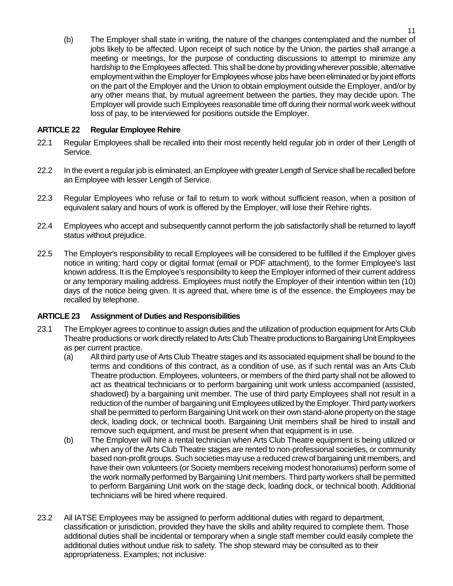(b) The Employer shall state in writing, the nature of the changes contemplated and the number of jobs likely to be affected. Upon receipt of such notice by the Union, the parties shall arrange a meeting or meetings, for the purpose of conducting discussions to attempt to minimize any hardship to the Employees affected. This shall be done by providing wherever possible, alternative employment within the Employerfor Employees whose jobs have been eliminated or by joint efforts on the part of the Employer and the Union to obtain employment outside the Employer, and/or by any other means that, by mutual agreement between the parties, they may decide upon. The Employer will provide such Employees reasonable time off during their normal work week without loss of pay, to be interviewed for positions outside the Employer.

# **ARTICLE 22 Regular Employee Rehire**

- 22.1 Regular Employees shall be recalled into their most recently held regular job in order of their Length of Service.
- 22.2 In the event a regular job is eliminated, an Employee with greater Length of Service shall be recalled before an Employee with lesser Length of Service.
- 22.3 Regular Employees who refuse or fail to return to work without sufficient reason, when a position of equivalent salary and hours of work is offered by the Employer, will lose their Rehire rights.
- 22.4 Employees who accept and subsequently cannot perform the job satisfactorily shall be returned to layoff status without prejudice.
- 22.5 The Employer's responsibility to recall Employees will be considered to be fulfilled if the Employer gives notice in writing; hard copy or digital format (email or PDF attachment), to the former Employee's last known address. It is the Employee's responsibility to keep the Employer informed of their current address or any temporary mailing address. Employees must notify the Employer of their intention within ten (10) days of the notice being given. It is agreed that, where time is of the essence, the Employees may be recalled by telephone.

# **ARTICLE 23 Assignment of Duties and Responsibilities**

- 23.1 The Employer agrees to continue to assign duties and the utilization of production equipment for Arts Club Theatre productions or work directly related to Arts Club Theatre productions to Bargaining Unit Employees as per current practice.
	- (a) All third party use of Arts Club Theatre stages and its associated equipment shall be bound to the terms and conditions of this contract, as a condition of use, as if such rental was an Arts Club Theatre production. Employees, volunteers, or members of the third party shall not be allowed to act as theatrical technicians or to perform bargaining unit work unless accompanied (assisted, shadowed) by a bargaining unit member. The use of third party Employees shall not result in a reduction of the number of bargaining unit Employees utilized by the Employer.Third party workers shall be permitted to perform Bargaining Unit work on their own stand-alone property on the stage deck, loading dock, or technical booth. Bargaining Unit members shall be hired to install and remove such equipment, and must be present when that equipment is in use.
	- (b) The Employer will hire a rental technician when Arts Club Theatre equipment is being utilized or when any of the Arts Club Theatre stages are rented to non-professional societies, or community based non-profit groups. Such societies may use a reduced crew of bargaining unit members, and have their own volunteers (or Society members receiving modest honorariums) perform some of the work normally performed by Bargaining Unit members. Third party workers shall be permitted to perform Bargaining Unit work on the stage deck, loading dock, or technical booth. Additional technicians will be hired where required.
- 23.2 All IATSE Employees may be assigned to perform additional duties with regard to department, classification or jurisdiction, provided they have the skills and ability required to complete them. Those additional duties shall be incidental or temporary when a single staff member could easily complete the additional duties without undue risk to safety. The shop steward may be consulted as to their appropriateness. Examples; not inclusive: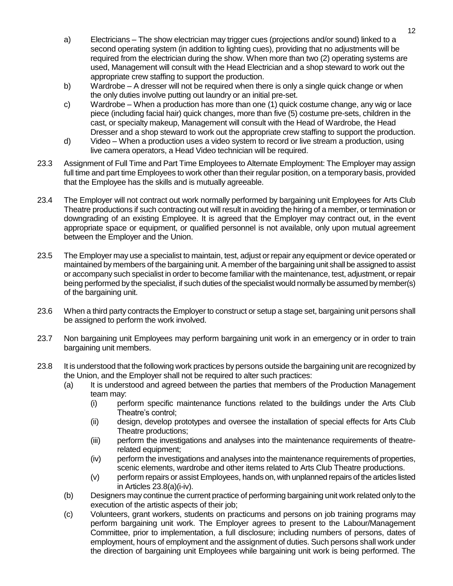- a) Electricians The show electrician may trigger cues (projections and/or sound) linked to a second operating system (in addition to lighting cues), providing that no adjustments will be required from the electrician during the show. When more than two (2) operating systems are used, Management will consult with the Head Electrician and a shop steward to work out the appropriate crew staffing to support the production.
- b) Wardrobe A dresser will not be required when there is only a single quick change or when the only duties involve putting out laundry or an initial pre-set.
- c) Wardrobe When a production has more than one (1) quick costume change, any wig or lace piece (including facial hair) quick changes, more than five (5) costume pre-sets, children in the cast, or specialty makeup, Management will consult with the Head of Wardrobe, the Head Dresser and a shop steward to work out the appropriate crew staffing to support the production.
- d) Video When a production uses a video system to record or live stream a production, using live camera operators, a Head Video technician will be required.
- 23.3 Assignment of Full Time and Part Time Employees to Alternate Employment: The Employer may assign full time and part time Employees to work other than their regular position, on a temporary basis, provided that the Employee has the skills and is mutually agreeable.
- 23.4 The Employer will not contract out work normally performed by bargaining unit Employees for Arts Club Theatre productions if such contracting out will result in avoiding the hiring of a member, or termination or downgrading of an existing Employee. It is agreed that the Employer may contract out, in the event appropriate space or equipment, or qualified personnel is not available, only upon mutual agreement between the Employer and the Union.
- 23.5 The Employer may use a specialist to maintain, test, adjust or repair any equipment or device operated or maintained by members of the bargaining unit. A member of the bargaining unit shall be assigned to assist or accompany such specialist in order to become familiar with the maintenance, test, adjustment, or repair being performed by the specialist, if such duties of the specialist would normally be assumed by member(s) of the bargaining unit.
- 23.6 When a third party contracts the Employer to construct or setup a stage set, bargaining unit persons shall be assigned to perform the work involved.
- 23.7 Non bargaining unit Employees may perform bargaining unit work in an emergency or in order to train bargaining unit members.
- 23.8 It is understood that the following work practices by persons outside the bargaining unit are recognized by the Union, and the Employer shall not be required to alter such practices:
	- (a) It is understood and agreed between the parties that members of the Production Management team may:
		- (i) perform specific maintenance functions related to the buildings under the Arts Club Theatre's control;
		- (ii) design, develop prototypes and oversee the installation of special effects for Arts Club Theatre productions;
		- (iii) perform the investigations and analyses into the maintenance requirements of theatrerelated equipment;
		- (iv) perform the investigations and analyses into the maintenance requirements of properties, scenic elements, wardrobe and other items related to Arts Club Theatre productions.
		- (v) perform repairs or assist Employees, hands on, with unplanned repairs of the articles listed in Articles 23.8(a)(i-iv).
	- (b) Designers may continue the current practice of performing bargaining unit work related only to the execution of the artistic aspects of their job;
	- (c) Volunteers, grant workers, students on practicums and persons on job training programs may perform bargaining unit work. The Employer agrees to present to the Labour/Management Committee, prior to implementation, a full disclosure; including numbers of persons, dates of employment, hours of employment and the assignment of duties. Such persons shall work under the direction of bargaining unit Employees while bargaining unit work is being performed. The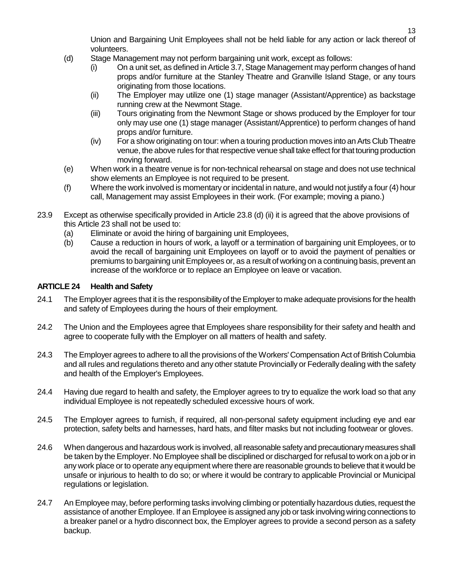Union and Bargaining Unit Employees shall not be held liable for any action or lack thereof of volunteers.

- (d) Stage Management may not perform bargaining unit work, except as follows:
	- (i) On a unit set, as defined in Article 3.7, Stage Management may perform changes of hand props and/or furniture at the Stanley Theatre and Granville Island Stage, or any tours originating from those locations.
	- (ii) The Employer may utilize one (1) stage manager (Assistant/Apprentice) as backstage running crew at the Newmont Stage.
	- (iii) Tours originating from the Newmont Stage or shows produced by the Employer for tour only may use one (1) stage manager (Assistant/Apprentice) to perform changes of hand props and/or furniture.
	- (iv) For a show originating on tour: when a touring production moves into an Arts Club Theatre venue, the above rules for that respective venue shall take effect for that touring production moving forward.
- (e) When work in a theatre venue is for non-technical rehearsal on stage and does not use technical show elements an Employee is not required to be present.
- (f) Where the work involved is momentary or incidental in nature, and would not justify a four (4) hour call, Management may assist Employees in their work. (For example; moving a piano.)
- 23.9 Except as otherwise specifically provided in Article 23.8 (d) (ii) it is agreed that the above provisions of this Article 23 shall not be used to:
	- (a) Eliminate or avoid the hiring of bargaining unit Employees,
	- (b) Cause a reduction in hours of work, a layoff or a termination of bargaining unit Employees, or to avoid the recall of bargaining unit Employees on layoff or to avoid the payment of penalties or premiums to bargaining unit Employees or, as a result of working on a continuing basis, prevent an increase of the workforce or to replace an Employee on leave or vacation.

# **ARTICLE 24 Health and Safety**

- 24.1 The Employer agrees that it is the responsibility of the Employer to make adequate provisions for the health and safety of Employees during the hours of their employment.
- 24.2 The Union and the Employees agree that Employees share responsibility for their safety and health and agree to cooperate fully with the Employer on all matters of health and safety.
- 24.3 The Employer agrees to adhere to all the provisions of the Workers' Compensation Act of British Columbia and all rules and regulations thereto and any other statute Provincially or Federally dealing with the safety and health of the Employer's Employees.
- 24.4 Having due regard to health and safety, the Employer agrees to try to equalize the work load so that any individual Employee is not repeatedly scheduled excessive hours of work.
- 24.5 The Employer agrees to furnish, if required, all non-personal safety equipment including eye and ear protection, safety belts and harnesses, hard hats, and filter masks but not including footwear or gloves.
- 24.6 When dangerous and hazardous work is involved, all reasonable safety and precautionary measures shall be taken by the Employer. No Employee shall be disciplined or discharged for refusal to work on a job or in any work place or to operate any equipment where there are reasonable grounds to believe that it would be unsafe or injurious to health to do so; or where it would be contrary to applicable Provincial or Municipal regulations or legislation.
- 24.7 An Employee may, before performing tasks involving climbing or potentially hazardous duties, request the assistance of another Employee. If an Employee is assigned any job or task involving wiring connections to a breaker panel or a hydro disconnect box, the Employer agrees to provide a second person as a safety backup.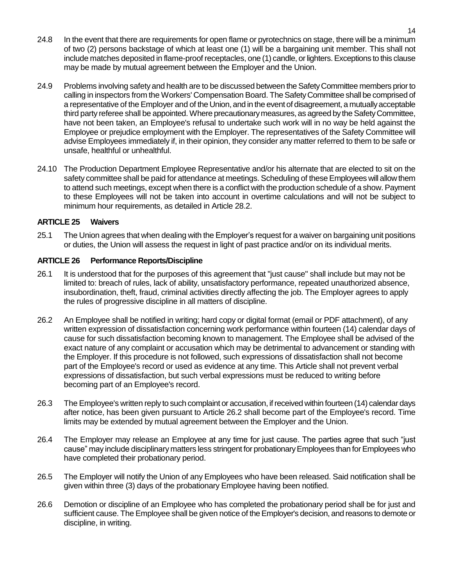- 24.8 In the event that there are requirements for open flame or pyrotechnics on stage, there will be a minimum of two (2) persons backstage of which at least one (1) will be a bargaining unit member. This shall not include matches deposited in flame-proof receptacles, one (1) candle, or lighters. Exceptions to this clause may be made by mutual agreement between the Employer and the Union.
- 24.9 Problems involving safety and health are to be discussed between the Safety Committee members prior to calling in inspectors from the Workers' Compensation Board. The Safety Committee shall be comprised of a representative of the Employer and of the Union, and in the event of disagreement, a mutually acceptable third party referee shall be appointed.Where precautionary measures, as agreed by the Safety Committee, have not been taken, an Employee's refusal to undertake such work will in no way be held against the Employee or prejudice employment with the Employer. The representatives of the Safety Committee will advise Employees immediately if, in their opinion, they consider any matter referred to them to be safe or unsafe, healthful or unhealthful.
- 24.10 The Production Department Employee Representative and/or his alternate that are elected to sit on the safety committee shall be paid for attendance at meetings. Scheduling of these Employees will allow them to attend such meetings, except when there is a conflict with the production schedule of a show. Payment to these Employees will not be taken into account in overtime calculations and will not be subject to minimum hour requirements, as detailed in Article 28.2.

## **ARTICLE 25 Waivers**

25.1 The Union agrees that when dealing with the Employer's request for a waiver on bargaining unit positions or duties, the Union will assess the request in light of past practice and/or on its individual merits.

# **ARTICLE 26 Performance Reports/Discipline**

- 26.1 It is understood that for the purposes of this agreement that "just cause" shall include but may not be limited to: breach of rules, lack of ability, unsatisfactory performance, repeated unauthorized absence, insubordination, theft, fraud, criminal activities directly affecting the job. The Employer agrees to apply the rules of progressive discipline in all matters of discipline.
- 26.2 An Employee shall be notified in writing; hard copy or digital format (email or PDF attachment), of any written expression of dissatisfaction concerning work performance within fourteen (14) calendar days of cause for such dissatisfaction becoming known to management. The Employee shall be advised of the exact nature of any complaint or accusation which may be detrimental to advancement or standing with the Employer. If this procedure is not followed, such expressions of dissatisfaction shall not become part of the Employee's record or used as evidence at any time. This Article shall not prevent verbal expressions of dissatisfaction, but such verbal expressions must be reduced to writing before becoming part of an Employee's record.
- 26.3 The Employee's written reply to such complaint or accusation, if received within fourteen (14) calendar days after notice, has been given pursuant to Article 26.2 shall become part of the Employee's record. Time limits may be extended by mutual agreement between the Employer and the Union.
- 26.4 The Employer may release an Employee at any time for just cause. The parties agree that such "just cause" may include disciplinary matters less stringent for probationaryEmployees than for Employees who have completed their probationary period.
- 26.5 The Employer will notify the Union of any Employees who have been released. Said notification shall be given within three (3) days of the probationary Employee having been notified.
- 26.6 Demotion or discipline of an Employee who has completed the probationary period shall be for just and sufficient cause. The Employee shall be given notice of the Employer's decision, and reasons to demote or discipline, in writing.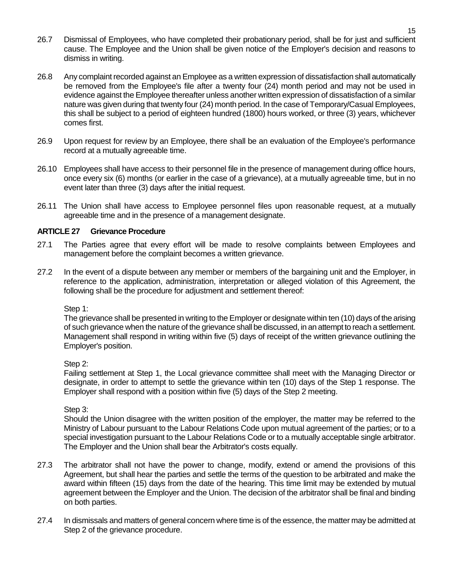- 26.7 Dismissal of Employees, who have completed their probationary period, shall be for just and sufficient cause. The Employee and the Union shall be given notice of the Employer's decision and reasons to dismiss in writing.
- 26.8 Any complaint recorded against an Employee as a written expression of dissatisfaction shall automatically be removed from the Employee's file after a twenty four (24) month period and may not be used in evidence against the Employee thereafter unless another written expression of dissatisfaction of a similar nature was given during that twenty four (24) month period. In the case of Temporary/Casual Employees, this shall be subject to a period of eighteen hundred (1800) hours worked, or three (3) years, whichever comes first.
- 26.9 Upon request for review by an Employee, there shall be an evaluation of the Employee's performance record at a mutually agreeable time.
- 26.10 Employees shall have access to their personnel file in the presence of management during office hours, once every six (6) months (or earlier in the case of a grievance), at a mutually agreeable time, but in no event later than three (3) days after the initial request.
- 26.11 The Union shall have access to Employee personnel files upon reasonable request, at a mutually agreeable time and in the presence of a management designate.

## **ARTICLE 27 Grievance Procedure**

- 27.1 The Parties agree that every effort will be made to resolve complaints between Employees and management before the complaint becomes a written grievance.
- 27.2 In the event of a dispute between any member or members of the bargaining unit and the Employer, in reference to the application, administration, interpretation or alleged violation of this Agreement, the following shall be the procedure for adjustment and settlement thereof:

# Step 1:

The grievance shall be presented in writing to the Employer or designate within ten (10) days of the arising of such grievance when the nature of the grievance shall be discussed, in an attempt to reach a settlement. Management shall respond in writing within five (5) days of receipt of the written grievance outlining the Employer's position.

## Step 2:

Failing settlement at Step 1, the Local grievance committee shall meet with the Managing Director or designate, in order to attempt to settle the grievance within ten (10) days of the Step 1 response. The Employer shall respond with a position within five (5) days of the Step 2 meeting.

## Step 3:

Should the Union disagree with the written position of the employer, the matter may be referred to the Ministry of Labour pursuant to the Labour Relations Code upon mutual agreement of the parties; or to a special investigation pursuant to the Labour Relations Code or to a mutually acceptable single arbitrator. The Employer and the Union shall bear the Arbitrator's costs equally.

- 27.3 The arbitrator shall not have the power to change, modify, extend or amend the provisions of this Agreement, but shall hear the parties and settle the terms of the question to be arbitrated and make the award within fifteen (15) days from the date of the hearing. This time limit may be extended by mutual agreement between the Employer and the Union. The decision of the arbitrator shall be final and binding on both parties.
- 27.4 In dismissals and matters of general concern where time is of the essence, the matter may be admitted at Step 2 of the grievance procedure.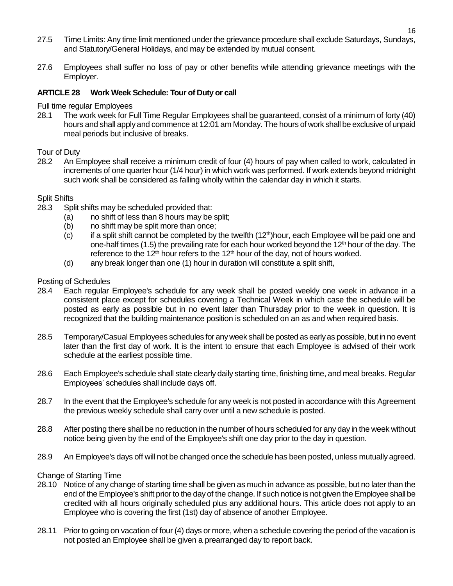- 27.5 Time Limits: Any time limit mentioned under the grievance procedure shall exclude Saturdays, Sundays, and Statutory/General Holidays, and may be extended by mutual consent.
- 27.6 Employees shall suffer no loss of pay or other benefits while attending grievance meetings with the Employer.

## **ARTICLE 28 Work Week Schedule: Tour of Duty or call**

Full time regular Employees

28.1 The work week for Full Time Regular Employees shall be guaranteed, consist of a minimum of forty (40) hours and shall apply and commence at 12:01 am Monday. The hours of work shall be exclusive of unpaid meal periods but inclusive of breaks.

# Tour of Duty

28.2 An Employee shall receive a minimum credit of four (4) hours of pay when called to work, calculated in increments of one quarter hour (1/4 hour) in which work was performed. If work extends beyond midnight such work shall be considered as falling wholly within the calendar day in which it starts.

## Split Shifts

- 28.3 Split shifts may be scheduled provided that:
	- (a) no shift of less than 8 hours may be split;
	- (b) no shift may be split more than once;
	- (c) if a split shift cannot be completed by the twelfth  $(12<sup>th</sup>)$ hour, each Employee will be paid one and one-half times (1.5) the prevailing rate for each hour worked beyond the  $12<sup>th</sup>$  hour of the day. The reference to the 12<sup>th</sup> hour refers to the 12<sup>th</sup> hour of the day, not of hours worked.
	- (d) any break longer than one (1) hour in duration will constitute a split shift,

## Posting of Schedules

- 28.4 Each regular Employee's schedule for any week shall be posted weekly one week in advance in a consistent place except for schedules covering a Technical Week in which case the schedule will be posted as early as possible but in no event later than Thursday prior to the week in question. It is recognized that the building maintenance position is scheduled on an as and when required basis.
- 28.5 Temporary/Casual Employees schedules for any week shall be posted as early as possible, but in no event later than the first day of work. It is the intent to ensure that each Employee is advised of their work schedule at the earliest possible time.
- 28.6 Each Employee's schedule shall state clearly daily starting time, finishing time, and meal breaks. Regular Employees' schedules shall include days off.
- 28.7 In the event that the Employee's schedule for any week is not posted in accordance with this Agreement the previous weekly schedule shall carry over until a new schedule is posted.
- 28.8 After posting there shall be no reduction in the number of hours scheduled for any day in the week without notice being given by the end of the Employee's shift one day prior to the day in question.
- 28.9 An Employee's days off will not be changed once the schedule has been posted, unless mutually agreed.

# Change of Starting Time

- 28.10 Notice of any change of starting time shall be given as much in advance as possible, but no later than the end of the Employee's shift prior to the day of the change. If such notice is not given the Employee shall be credited with all hours originally scheduled plus any additional hours. This article does not apply to an Employee who is covering the first (1st) day of absence of another Employee.
- 28.11 Prior to going on vacation of four (4) days or more, when a schedule covering the period of the vacation is not posted an Employee shall be given a prearranged day to report back.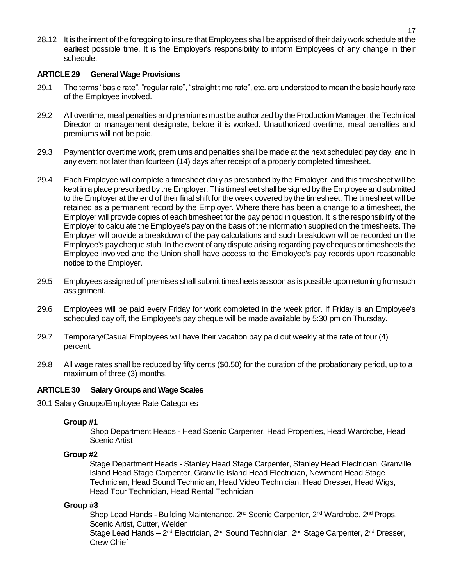28.12 It is the intent of the foregoing to insure that Employees shall be apprised of their daily work schedule at the earliest possible time. It is the Employer's responsibility to inform Employees of any change in their schedule.

## **ARTICLE 29 General Wage Provisions**

- 29.1 The terms "basic rate", "regular rate", "straight time rate", etc. are understood to mean the basic hourly rate of the Employee involved.
- 29.2 All overtime, meal penalties and premiums must be authorized by the Production Manager, the Technical Director or management designate, before it is worked. Unauthorized overtime, meal penalties and premiums will not be paid.
- 29.3 Payment for overtime work, premiums and penalties shall be made at the next scheduled pay day, and in any event not later than fourteen (14) days after receipt of a properly completed timesheet.
- 29.4 Each Employee will complete a timesheet daily as prescribed by the Employer, and this timesheet will be kept in a place prescribed by the Employer. This timesheet shall be signed by the Employee and submitted to the Employer at the end of their final shift for the week covered by the timesheet. The timesheet will be retained as a permanent record by the Employer. Where there has been a change to a timesheet, the Employer will provide copies of each timesheet for the pay period in question. It is the responsibility of the Employer to calculate the Employee's pay on the basis of the information supplied on the timesheets. The Employer will provide a breakdown of the pay calculations and such breakdown will be recorded on the Employee's pay cheque stub. In the event of any dispute arising regarding pay cheques or timesheets the Employee involved and the Union shall have access to the Employee's pay records upon reasonable notice to the Employer.
- 29.5 Employees assigned off premises shall submit timesheets as soon as is possible upon returning from such assignment.
- 29.6 Employees will be paid every Friday for work completed in the week prior. If Friday is an Employee's scheduled day off, the Employee's pay cheque will be made available by 5:30 pm on Thursday.
- 29.7 Temporary/Casual Employees will have their vacation pay paid out weekly at the rate of four (4) percent.
- 29.8 All wage rates shall be reduced by fifty cents (\$0.50) for the duration of the probationary period, up to a maximum of three (3) months.

## **ARTICLE 30 Salary Groups and Wage Scales**

30.1 Salary Groups/Employee Rate Categories

## **Group #1**

Shop Department Heads - Head Scenic Carpenter, Head Properties, Head Wardrobe, Head Scenic Artist

## **Group #2**

Stage Department Heads - Stanley Head Stage Carpenter, Stanley Head Electrician, Granville Island Head Stage Carpenter, Granville Island Head Electrician, Newmont Head Stage Technician, Head Sound Technician, Head Video Technician, Head Dresser, Head Wigs, Head Tour Technician, Head Rental Technician

## **Group #3**

Shop Lead Hands - Building Maintenance, 2<sup>nd</sup> Scenic Carpenter, 2<sup>nd</sup> Wardrobe, 2<sup>nd</sup> Props, Scenic Artist, Cutter, Welder

Stage Lead Hands – 2<sup>nd</sup> Electrician, 2<sup>nd</sup> Sound Technician, 2<sup>nd</sup> Stage Carpenter, 2<sup>nd</sup> Dresser, Crew Chief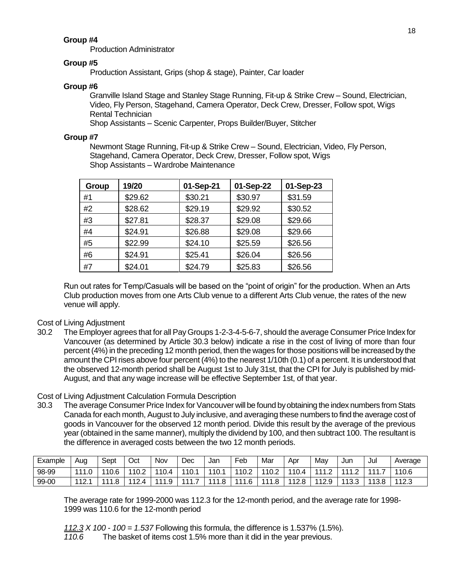#### **Group #4**

Production Administrator

## **Group #5**

Production Assistant, Grips (shop & stage), Painter, Car loader

## **Group #6**

Granville Island Stage and Stanley Stage Running, Fit-up & Strike Crew – Sound, Electrician, Video, Fly Person, Stagehand, Camera Operator, Deck Crew, Dresser, Follow spot, Wigs Rental Technician

Shop Assistants – Scenic Carpenter, Props Builder/Buyer, Stitcher

#### **Group #7**

Newmont Stage Running, Fit-up & Strike Crew – Sound, Electrician, Video, Fly Person, Stagehand, Camera Operator, Deck Crew, Dresser, Follow spot, Wigs Shop Assistants – Wardrobe Maintenance

| Group | 19/20   | 01-Sep-21 | 01-Sep-22 | 01-Sep-23 |
|-------|---------|-----------|-----------|-----------|
| #1    | \$29.62 | \$30.21   | \$30.97   | \$31.59   |
| #2    | \$28.62 | \$29.19   | \$29.92   | \$30.52   |
| #3    | \$27.81 | \$28.37   | \$29.08   | \$29.66   |
| #4    | \$24.91 | \$26.88   | \$29.08   | \$29.66   |
| #5    | \$22.99 | \$24.10   | \$25.59   | \$26.56   |
| #6    | \$24.91 | \$25.41   | \$26.04   | \$26.56   |
| #7    | \$24.01 | \$24.79   | \$25.83   | \$26.56   |

Run out rates for Temp/Casuals will be based on the "point of origin" for the production. When an Arts Club production moves from one Arts Club venue to a different Arts Club venue, the rates of the new venue will apply.

Cost of Living Adjustment

30.2 The Employer agrees that for all Pay Groups 1-2-3-4-5-6-7, should the average Consumer Price Index for Vancouver (as determined by Article 30.3 below) indicate a rise in the cost of living of more than four percent (4%) in the preceding 12 month period, then the wages for those positions will be increased by the amount the CPI rises above four percent (4%) to the nearest 1/10th (0.1) of a percent. It is understood that the observed 12-month period shall be August 1st to July 31st, that the CPI for July is published by mid-August, and that any wage increase will be effective September 1st, of that year.

Cost of Living Adjustment Calculation Formula Description

30.3 The average Consumer Price Index for Vancouver will be found by obtaining the index numbers from Stats Canada for each month, August to July inclusive, and averaging these numbers to find the average cost of goods in Vancouver for the observed 12 month period. Divide this result by the average of the previous year (obtained in the same manner), multiply the dividend by 100, and then subtract 100. The resultant is the difference in averaged costs between the two 12 month periods.

| Example | Aug          | Sept  | Oct                    | Nov               | Dec  | Jan         | Feb   | Mar             | Apr   | May           | Jun           | Ju           | Average |
|---------|--------------|-------|------------------------|-------------------|------|-------------|-------|-----------------|-------|---------------|---------------|--------------|---------|
| 98-99   | 1110         | 110.6 | 110.2                  | 110.4             | 10.1 | 110.        | 110.2 | 110.2           | 110.4 | 444<br>$\sim$ | 444<br>$\sim$ | -<br>444     | 110.6   |
| 99-00   | 1121<br>. د. | 111 O | 112A<br>. <sup>.</sup> | 44<br>$\sim$<br>◡ |      | 111<br>ں. ا | 111 Q | 144<br>$\Omega$ | 112.8 | 112.9         | 113.3         | 1120<br>10.0 | 112.3   |

The average rate for 1999-2000 was 112.3 for the 12-month period, and the average rate for 1998- 1999 was 110.6 for the 12-month period

*112.3 X 100 - 100 = 1.537* Following this formula, the difference is 1.537% (1.5%).

*110.6* The basket of items cost 1.5% more than it did in the year previous.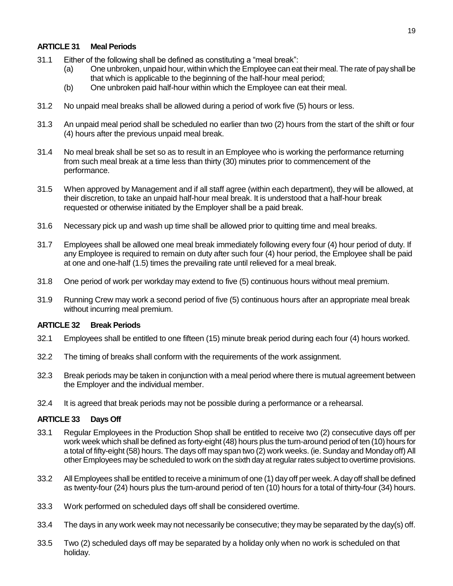#### 19

## **ARTICLE 31 Meal Periods**

- 31.1 Either of the following shall be defined as constituting a "meal break":
	- (a) One unbroken, unpaid hour, within which the Employee can eat their meal. The rate of pay shall be that which is applicable to the beginning of the half-hour meal period;
	- (b) One unbroken paid half-hour within which the Employee can eat their meal.
- 31.2 No unpaid meal breaks shall be allowed during a period of work five (5) hours or less.
- 31.3 An unpaid meal period shall be scheduled no earlier than two (2) hours from the start of the shift or four (4) hours after the previous unpaid meal break.
- 31.4 No meal break shall be set so as to result in an Employee who is working the performance returning from such meal break at a time less than thirty (30) minutes prior to commencement of the performance.
- 31.5 When approved by Management and if all staff agree (within each department), they will be allowed, at their discretion, to take an unpaid half-hour meal break. It is understood that a half-hour break requested or otherwise initiated by the Employer shall be a paid break.
- 31.6 Necessary pick up and wash up time shall be allowed prior to quitting time and meal breaks.
- 31.7 Employees shall be allowed one meal break immediately following every four (4) hour period of duty. If any Employee is required to remain on duty after such four (4) hour period, the Employee shall be paid at one and one-half (1.5) times the prevailing rate until relieved for a meal break.
- 31.8 One period of work per workday may extend to five (5) continuous hours without meal premium.
- 31.9 Running Crew may work a second period of five (5) continuous hours after an appropriate meal break without incurring meal premium.

#### **ARTICLE 32 Break Periods**

- 32.1 Employees shall be entitled to one fifteen (15) minute break period during each four (4) hours worked.
- 32.2 The timing of breaks shall conform with the requirements of the work assignment.
- 32.3 Break periods may be taken in conjunction with a meal period where there is mutual agreement between the Employer and the individual member.
- 32.4 It is agreed that break periods may not be possible during a performance or a rehearsal.

### **ARTICLE 33 Days Off**

- 33.1 Regular Employees in the Production Shop shall be entitled to receive two (2) consecutive days off per work week which shall be defined as forty-eight (48) hours plus the turn-around period of ten (10) hours for a total of fifty-eight (58) hours. The days off may span two (2) work weeks. (ie. Sunday and Monday off) All other Employees may be scheduled to work on the sixth day at regular rates subject to overtime provisions.
- 33.2 All Employees shall be entitled to receive a minimum of one (1) day off per week. A day off shall be defined as twenty-four (24) hours plus the turn-around period of ten (10) hours for a total of thirty-four (34) hours.
- 33.3 Work performed on scheduled days off shall be considered overtime.
- 33.4 The days in any work week may not necessarily be consecutive; they may be separated by the day(s) off.
- 33.5 Two (2) scheduled days off may be separated by a holiday only when no work is scheduled on that holiday.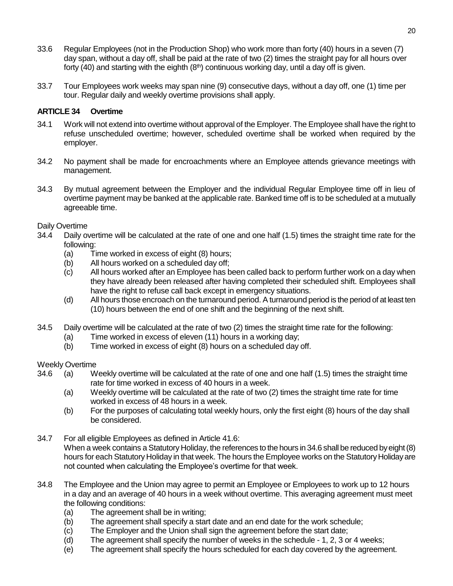- 33.6 Regular Employees (not in the Production Shop) who work more than forty (40) hours in a seven (7) day span, without a day off, shall be paid at the rate of two (2) times the straight pay for all hours over forty (40) and starting with the eighth  $(8<sup>th</sup>)$  continuous working day, until a day off is given.
- 33.7 Tour Employees work weeks may span nine (9) consecutive days, without a day off, one (1) time per tour. Regular daily and weekly overtime provisions shall apply.

# **ARTICLE 34 Overtime**

- 34.1 Work will not extend into overtime without approval of the Employer. The Employee shall have the right to refuse unscheduled overtime; however, scheduled overtime shall be worked when required by the employer.
- 34.2 No payment shall be made for encroachments where an Employee attends grievance meetings with management.
- 34.3 By mutual agreement between the Employer and the individual Regular Employee time off in lieu of overtime payment may be banked at the applicable rate. Banked time off is to be scheduled at a mutually agreeable time.

Daily Overtime

- 34.4 Daily overtime will be calculated at the rate of one and one half (1.5) times the straight time rate for the following:
	- (a) Time worked in excess of eight (8) hours;
	- (b) All hours worked on a scheduled day off;
	- (c) All hours worked after an Employee has been called back to perform further work on a day when they have already been released after having completed their scheduled shift. Employees shall have the right to refuse call back except in emergency situations.
	- (d) All hours those encroach on the turnaround period. A turnaround period is the period of at least ten (10) hours between the end of one shift and the beginning of the next shift.
- 34.5 Daily overtime will be calculated at the rate of two (2) times the straight time rate for the following:
	- (a) Time worked in excess of eleven (11) hours in a working day;
	- (b) Time worked in excess of eight (8) hours on a scheduled day off.

Weekly Overtime

- 34.6 (a) Weekly overtime will be calculated at the rate of one and one half (1.5) times the straight time rate for time worked in excess of 40 hours in a week.
	- (a) Weekly overtime will be calculated at the rate of two (2) times the straight time rate for time worked in excess of 48 hours in a week.
	- (b) For the purposes of calculating total weekly hours, only the first eight (8) hours of the day shall be considered.
- 34.7 For all eligible Employees as defined in Article 41.6:

When a week contains a Statutory Holiday, the references to the hours in 34.6 shall be reduced by eight (8) hours for each Statutory Holiday in that week. The hours the Employee works on the Statutory Holiday are not counted when calculating the Employee's overtime for that week.

- 34.8 The Employee and the Union may agree to permit an Employee or Employees to work up to 12 hours in a day and an average of 40 hours in a week without overtime. This averaging agreement must meet the following conditions:
	- (a) The agreement shall be in writing;
	- (b) The agreement shall specify a start date and an end date for the work schedule;
	- (c) The Employer and the Union shall sign the agreement before the start date;
	- (d) The agreement shall specify the number of weeks in the schedule 1, 2, 3 or 4 weeks;
	- (e) The agreement shall specify the hours scheduled for each day covered by the agreement.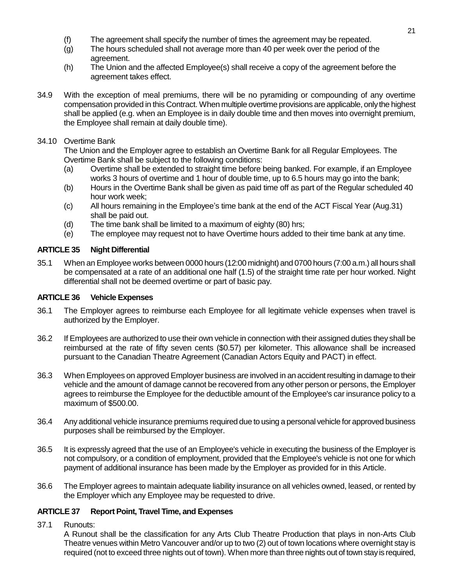- (f) The agreement shall specify the number of times the agreement may be repeated.
- (g) The hours scheduled shall not average more than 40 per week over the period of the agreement.
- (h) The Union and the affected Employee(s) shall receive a copy of the agreement before the agreement takes effect.
- 34.9 With the exception of meal premiums, there will be no pyramiding or compounding of any overtime compensation provided in this Contract. When multiple overtime provisions are applicable, only the highest shall be applied (e.g. when an Employee is in daily double time and then moves into overnight premium, the Employee shall remain at daily double time).

## 34.10 Overtime Bank

The Union and the Employer agree to establish an Overtime Bank for all Regular Employees. The Overtime Bank shall be subject to the following conditions:

- (a) Overtime shall be extended to straight time before being banked. For example, if an Employee works 3 hours of overtime and 1 hour of double time, up to 6.5 hours may go into the bank;
- (b) Hours in the Overtime Bank shall be given as paid time off as part of the Regular scheduled 40 hour work week;
- (c) All hours remaining in the Employee's time bank at the end of the ACT Fiscal Year (Aug.31) shall be paid out.
- (d) The time bank shall be limited to a maximum of eighty (80) hrs;
- (e) The employee may request not to have Overtime hours added to their time bank at any time.

# **ARTICLE 35 Night Differential**

35.1 When an Employee works between 0000 hours (12:00 midnight) and 0700 hours (7:00 a.m.) all hours shall be compensated at a rate of an additional one half (1.5) of the straight time rate per hour worked. Night differential shall not be deemed overtime or part of basic pay.

## **ARTICLE 36 Vehicle Expenses**

- 36.1 The Employer agrees to reimburse each Employee for all legitimate vehicle expenses when travel is authorized by the Employer.
- 36.2 If Employees are authorized to use their own vehicle in connection with their assigned duties they shall be reimbursed at the rate of fifty seven cents (\$0.57) per kilometer. This allowance shall be increased pursuant to the Canadian Theatre Agreement (Canadian Actors Equity and PACT) in effect.
- 36.3 When Employees on approved Employer business are involved in an accident resulting in damage to their vehicle and the amount of damage cannot be recovered from any other person or persons, the Employer agrees to reimburse the Employee for the deductible amount of the Employee's car insurance policy to a maximum of \$500.00.
- 36.4 Any additional vehicle insurance premiums required due to using a personal vehicle for approved business purposes shall be reimbursed by the Employer.
- 36.5 It is expressly agreed that the use of an Employee's vehicle in executing the business of the Employer is not compulsory, or a condition of employment, provided that the Employee's vehicle is not one for which payment of additional insurance has been made by the Employer as provided for in this Article.
- 36.6 The Employer agrees to maintain adequate liability insurance on all vehicles owned, leased, or rented by the Employer which any Employee may be requested to drive.

# **ARTICLE 37 Report Point, Travel Time, and Expenses**

37.1 Runouts:

A Runout shall be the classification for any Arts Club Theatre Production that plays in non-Arts Club Theatre venues within Metro Vancouver and/or up to two (2) out of town locations where overnight stay is required (not to exceed three nights out of town). When more than three nights out of town stay is required,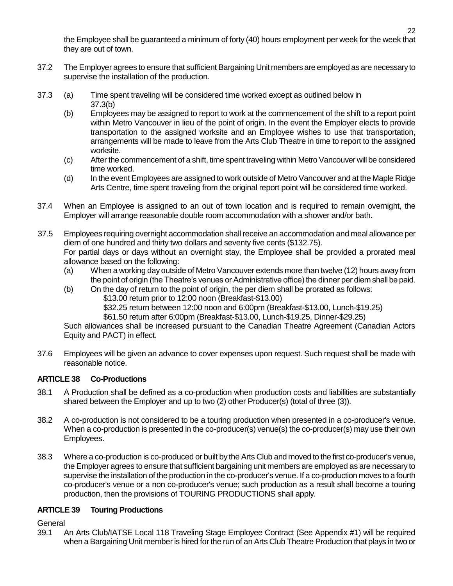the Employee shall be guaranteed a minimum of forty (40) hours employment per week for the week that they are out of town.

- 37.2 The Employer agrees to ensure that sufficient Bargaining Unit members are employed as are necessary to supervise the installation of the production.
- 37.3 (a) Time spent traveling will be considered time worked except as outlined below in 37.3(b)
	- (b) Employees may be assigned to report to work at the commencement of the shift to a report point within Metro Vancouver in lieu of the point of origin. In the event the Employer elects to provide transportation to the assigned worksite and an Employee wishes to use that transportation, arrangements will be made to leave from the Arts Club Theatre in time to report to the assigned worksite.
	- (c) After the commencement of a shift, time spent traveling within Metro Vancouver will be considered time worked.
	- (d) In the event Employees are assigned to work outside of Metro Vancouver and at the Maple Ridge Arts Centre, time spent traveling from the original report point will be considered time worked.
- 37.4 When an Employee is assigned to an out of town location and is required to remain overnight, the Employer will arrange reasonable double room accommodation with a shower and/or bath.
- 37.5 Employees requiring overnight accommodation shall receive an accommodation and meal allowance per diem of one hundred and thirty two dollars and seventy five cents (\$132.75). For partial days or days without an overnight stay, the Employee shall be provided a prorated meal allowance based on the following:
	- (a) When a working day outside of Metro Vancouver extends more than twelve (12) hours away from the point of origin (the Theatre's venues or Administrative office) the dinner per diem shall be paid.
	- (b) On the day of return to the point of origin, the per diem shall be prorated as follows:
		- \$13.00 return prior to 12:00 noon (Breakfast-\$13.00)
		- \$32.25 return between 12:00 noon and 6:00pm (Breakfast-\$13.00, Lunch-\$19.25)
		- \$61.50 return after 6:00pm (Breakfast-\$13.00, Lunch-\$19.25, Dinner-\$29.25)

Such allowances shall be increased pursuant to the Canadian Theatre Agreement (Canadian Actors Equity and PACT) in effect.

37.6 Employees will be given an advance to cover expenses upon request. Such request shall be made with reasonable notice.

# **ARTICLE 38 Co-Productions**

- 38.1 A Production shall be defined as a co-production when production costs and liabilities are substantially shared between the Employer and up to two (2) other Producer(s) (total of three (3)).
- 38.2 A co-production is not considered to be a touring production when presented in a co-producer's venue. When a co-production is presented in the co-producer(s) venue(s) the co-producer(s) may use their own Employees.
- 38.3 Where a co-production is co-produced or built by the Arts Club and moved to the first co-producer's venue, the Employer agrees to ensure that sufficient bargaining unit members are employed as are necessary to supervise the installation of the production in the co-producer's venue. If a co-production moves to a fourth co-producer's venue or a non co-producer's venue; such production as a result shall become a touring production, then the provisions of TOURING PRODUCTIONS shall apply.

# **ARTICLE 39 Touring Productions**

General

39.1 An Arts Club/IATSE Local 118 Traveling Stage Employee Contract (See Appendix #1) will be required when a Bargaining Unit member is hired for the run of an Arts Club Theatre Production that plays in two or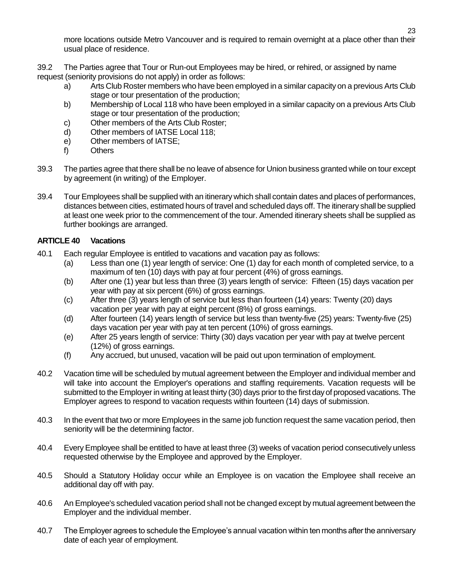more locations outside Metro Vancouver and is required to remain overnight at a place other than their usual place of residence.

39.2 The Parties agree that Tour or Run-out Employees may be hired, or rehired, or assigned by name request (seniority provisions do not apply) in order as follows:

- a) Arts Club Roster members who have been employed in a similar capacity on a previous Arts Club stage or tour presentation of the production;
- b) Membership of Local 118 who have been employed in a similar capacity on a previous Arts Club stage or tour presentation of the production;
- c) Other members of the Arts Club Roster;
- d) Other members of IATSE Local 118;
- e) Other members of IATSE;
- f) Others
- 39.3 The parties agree that there shall be no leave of absence for Union business granted while on tour except by agreement (in writing) of the Employer.
- 39.4 Tour Employees shall be supplied with an itinerary which shall contain dates and places of performances, distances between cities, estimated hours of travel and scheduled days off. The itinerary shall be supplied at least one week prior to the commencement of the tour. Amended itinerary sheets shall be supplied as further bookings are arranged.

# **ARTICLE 40 Vacations**

- 40.1 Each regular Employee is entitled to vacations and vacation pay as follows:
	- (a) Less than one (1) year length of service: One (1) day for each month of completed service, to a maximum of ten (10) days with pay at four percent (4%) of gross earnings.
	- (b) After one (1) year but less than three (3) years length of service: Fifteen (15) days vacation per year with pay at six percent (6%) of gross earnings.
	- (c) After three (3) years length of service but less than fourteen (14) years: Twenty (20) days vacation per year with pay at eight percent (8%) of gross earnings.
	- (d) After fourteen (14) years length of service but less than twenty-five (25) years: Twenty-five (25) days vacation per year with pay at ten percent (10%) of gross earnings.
	- (e) After 25 years length of service: Thirty (30) days vacation per year with pay at twelve percent (12%) of gross earnings.
	- (f) Any accrued, but unused, vacation will be paid out upon termination of employment.
- 40.2 Vacation time will be scheduled by mutual agreement between the Employer and individual member and will take into account the Employer's operations and staffing requirements. Vacation requests will be submitted to the Employer in writing at least thirty (30) days prior to the first day of proposed vacations. The Employer agrees to respond to vacation requests within fourteen (14) days of submission.
- 40.3 In the event that two or more Employees in the same job function request the same vacation period, then seniority will be the determining factor.
- 40.4 Every Employee shall be entitled to have at least three (3) weeks of vacation period consecutively unless requested otherwise by the Employee and approved by the Employer.
- 40.5 Should a Statutory Holiday occur while an Employee is on vacation the Employee shall receive an additional day off with pay.
- 40.6 An Employee's scheduled vacation period shall not be changed except by mutual agreement between the Employer and the individual member.
- 40.7 The Employer agrees to schedule the Employee's annual vacation within ten months after the anniversary date of each year of employment.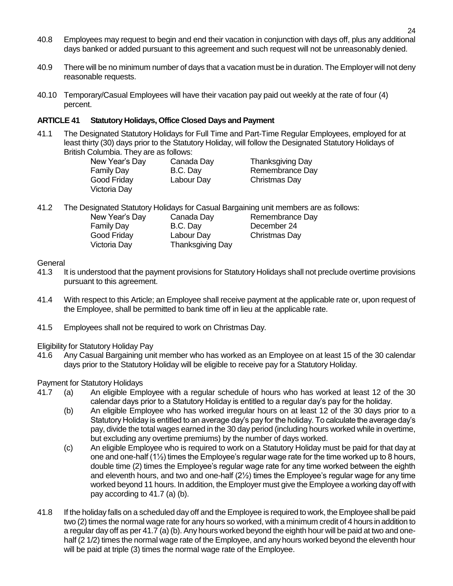- 40.8 Employees may request to begin and end their vacation in conjunction with days off, plus any additional days banked or added pursuant to this agreement and such request will not be unreasonably denied.
- 40.9 There will be no minimum number of days that a vacation must be in duration. The Employer will not deny reasonable requests.
- 40.10 Temporary/Casual Employees will have their vacation pay paid out weekly at the rate of four (4) percent.

## **ARTICLE 41 Statutory Holidays, Office Closed Days and Payment**

41.1 The Designated Statutory Holidays for Full Time and Part-Time Regular Employees, employed for at least thirty (30) days prior to the Statutory Holiday, will follow the Designated Statutory Holidays of British Columbia. They are as follows:

| New Year's Day    | Canada Day | Thanksgiving Day |
|-------------------|------------|------------------|
| <b>Family Day</b> | B.C. Day   | Remembrance Day  |
| Good Friday       | Labour Day | Christmas Day    |
| Victoria Day      |            |                  |

41.2 The Designated Statutory Holidays for Casual Bargaining unit members are as follows:

Victoria Day Thanksgiving Day

New Year's Day Canada Day Remembrance Day Family Day B.C. Day December 24 Good Friday Labour Day Christmas Day

## **General**

- 41.3 It is understood that the payment provisions for Statutory Holidays shall not preclude overtime provisions pursuant to this agreement.
- 41.4 With respect to this Article; an Employee shall receive payment at the applicable rate or, upon request of the Employee, shall be permitted to bank time off in lieu at the applicable rate.
- 41.5 Employees shall not be required to work on Christmas Day.

Eligibility for Statutory Holiday Pay

41.6 Any Casual Bargaining unit member who has worked as an Employee on at least 15 of the 30 calendar days prior to the Statutory Holiday will be eligible to receive pay for a Statutory Holiday.

# Payment for Statutory Holidays

- 41.7 (a) An eligible Employee with a regular schedule of hours who has worked at least 12 of the 30 calendar days prior to a Statutory Holiday is entitled to a regular day's pay for the holiday.
	- (b) An eligible Employee who has worked irregular hours on at least 12 of the 30 days prior to a Statutory Holiday is entitled to an average day's pay for the holiday. To calculate the average day's pay, divide the total wages earned in the 30 day period (including hours worked while in overtime, but excluding any overtime premiums) by the number of days worked.
	- (c) An eligible Employee who is required to work on a Statutory Holiday must be paid for that day at one and one-half  $(1\frac{1}{2})$  times the Employee's regular wage rate for the time worked up to 8 hours, double time (2) times the Employee's regular wage rate for any time worked between the eighth and eleventh hours, and two and one-half  $(2\frac{1}{2})$  times the Employee's regular wage for any time worked beyond 11 hours. In addition, the Employer must give the Employee a working day off with pay according to 41.7 (a) (b).
- 41.8 If the holiday falls on a scheduled day off and the Employee is required to work, the Employee shall be paid two (2) times the normal wage rate for any hours so worked, with a minimum credit of 4 hours in addition to a regular day off as per 41.7 (a) (b). Any hours worked beyond the eighth hour will be paid at two and onehalf (2 1/2) times the normal wage rate of the Employee, and any hours worked beyond the eleventh hour will be paid at triple (3) times the normal wage rate of the Employee.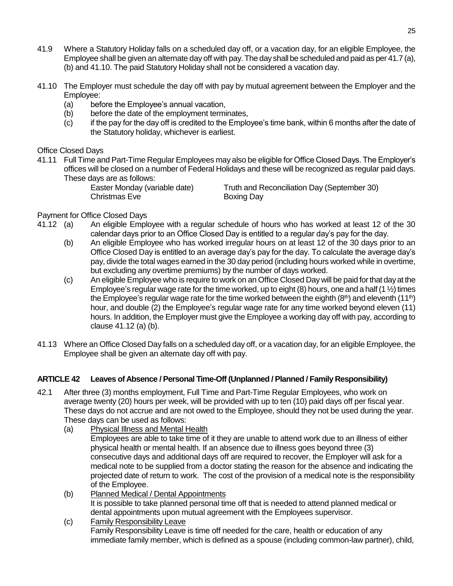- 41.9 Where a Statutory Holiday falls on a scheduled day off, or a vacation day, for an eligible Employee, the Employee shall be given an alternate day off with pay. The day shall be scheduled and paid as per 41.7 (a), (b) and 41.10. The paid Statutory Holiday shall not be considered a vacation day.
- 41.10 The Employer must schedule the day off with pay by mutual agreement between the Employer and the Employee:
	- (a) before the Employee's annual vacation,
	- (b) before the date of the employment terminates,
	- (c) if the pay for the day off is credited to the Employee's time bank, within 6 months after the date of the Statutory holiday, whichever is earliest.

# Office Closed Days

41.11 Full Time and Part-Time Regular Employees may also be eligible for Office Closed Days. The Employer's offices will be closed on a number of Federal Holidays and these will be recognized as regular paid days. These days are as follows:

| Easter Monday (variable date) | Truth and Reconciliation Day (September 30) |
|-------------------------------|---------------------------------------------|
| Christmas Eve                 | Boxing Day                                  |

# Payment for Office Closed Days

- 41.12 (a) An eligible Employee with a regular schedule of hours who has worked at least 12 of the 30 calendar days prior to an Office Closed Day is entitled to a regular day's pay for the day.
	- (b) An eligible Employee who has worked irregular hours on at least 12 of the 30 days prior to an Office Closed Day is entitled to an average day's pay for the day. To calculate the average day's pay, divide the total wages earned in the 30 day period (including hours worked while in overtime, but excluding any overtime premiums) by the number of days worked.
	- (c) An eligible Employee who is require to work on an Office Closed Day will be paid for that day at the Employee's regular wage rate for the time worked, up to eight (8) hours, one and a half (1  $\frac{1}{2}$ ) times the Employee's regular wage rate for the time worked between the eighth  $(8<sup>th</sup>)$  and eleventh  $(11<sup>th</sup>)$ hour, and double (2) the Employee's regular wage rate for any time worked beyond eleven (11) hours. In addition, the Employer must give the Employee a working day off with pay, according to clause 41.12 (a) (b).
- 41.13 Where an Office Closed Day falls on a scheduled day off, or a vacation day, for an eligible Employee, the Employee shall be given an alternate day off with pay.

# **ARTICLE 42 Leaves of Absence / Personal Time-Off (Unplanned / Planned / Family Responsibility)**

- 42.1 After three (3) months employment, Full Time and Part-Time Regular Employees, who work on average twenty (20) hours per week, will be provided with up to ten (10) paid days off per fiscal year. These days do not accrue and are not owed to the Employee, should they not be used during the year. These days can be used as follows:
	- (a) Physical Illness and Mental Health
		- Employees are able to take time of it they are unable to attend work due to an illness of either physical health or mental health. If an absence due to illness goes beyond three (3) consecutive days and additional days off are required to recover, the Employer will ask for a medical note to be supplied from a doctor stating the reason for the absence and indicating the projected date of return to work. The cost of the provision of a medical note is the responsibility of the Employee.
	- (b) Planned Medical / Dental Appointments It is possible to take planned personal time off that is needed to attend planned medical or dental appointments upon mutual agreement with the Employees supervisor.
	- (c) Family Responsibility Leave Family Responsibility Leave is time off needed for the care, health or education of any immediate family member, which is defined as a spouse (including common-law partner), child,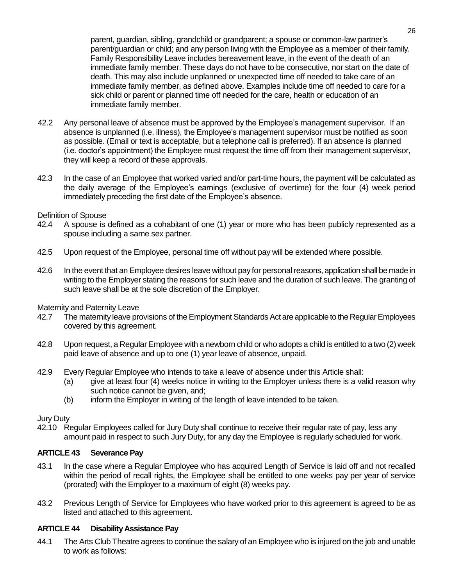parent, guardian, sibling, grandchild or grandparent; a spouse or common-law partner's parent/guardian or child; and any person living with the Employee as a member of their family. Family Responsibility Leave includes bereavement leave, in the event of the death of an immediate family member. These days do not have to be consecutive, nor start on the date of death. This may also include unplanned or unexpected time off needed to take care of an immediate family member, as defined above. Examples include time off needed to care for a sick child or parent or planned time off needed for the care, health or education of an immediate family member.

- 42.2 Any personal leave of absence must be approved by the Employee's management supervisor. If an absence is unplanned (i.e. illness), the Employee's management supervisor must be notified as soon as possible. (Email or text is acceptable, but a telephone call is preferred). If an absence is planned (i.e. doctor's appointment) the Employee must request the time off from their management supervisor, they will keep a record of these approvals.
- 42.3 In the case of an Employee that worked varied and/or part-time hours, the payment will be calculated as the daily average of the Employee's earnings (exclusive of overtime) for the four (4) week period immediately preceding the first date of the Employee's absence.

## Definition of Spouse

- 42.4 A spouse is defined as a cohabitant of one (1) year or more who has been publicly represented as a spouse including a same sex partner.
- 42.5 Upon request of the Employee, personal time off without pay will be extended where possible.
- 42.6 In the event that an Employee desires leave without pay for personal reasons, application shall be made in writing to the Employer stating the reasons for such leave and the duration of such leave. The granting of such leave shall be at the sole discretion of the Employer.

## Maternity and Paternity Leave

- 42.7 The maternity leave provisions of the Employment Standards Act are applicable to the Regular Employees covered by this agreement.
- 42.8 Upon request, a Regular Employee with a newborn child or who adopts a child is entitled to a two (2) week paid leave of absence and up to one (1) year leave of absence, unpaid.
- 42.9 Every Regular Employee who intends to take a leave of absence under this Article shall:
	- (a) give at least four (4) weeks notice in writing to the Employer unless there is a valid reason why such notice cannot be given, and;
	- (b) inform the Employer in writing of the length of leave intended to be taken.

## Jury Duty

42.10 Regular Employees called for Jury Duty shall continue to receive their regular rate of pay, less any amount paid in respect to such Jury Duty, for any day the Employee is regularly scheduled for work.

## **ARTICLE 43 Severance Pay**

- 43.1 In the case where a Regular Employee who has acquired Length of Service is laid off and not recalled within the period of recall rights, the Employee shall be entitled to one weeks pay per year of service (prorated) with the Employer to a maximum of eight (8) weeks pay.
- 43.2 Previous Length of Service for Employees who have worked prior to this agreement is agreed to be as listed and attached to this agreement.

# **ARTICLE 44 Disability Assistance Pay**

44.1 The Arts Club Theatre agrees to continue the salary of an Employee who is injured on the job and unable to work as follows: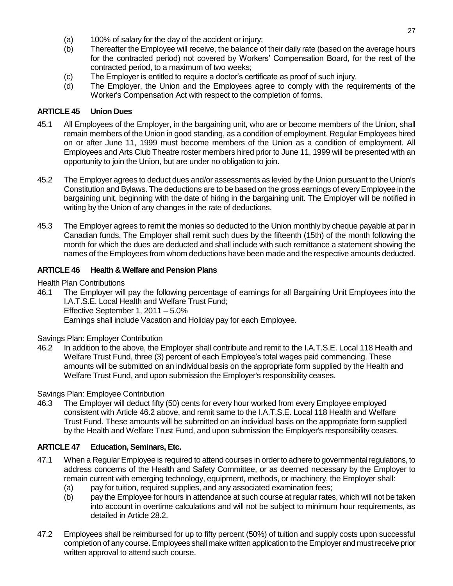- (a) 100% of salary for the day of the accident or injury;
- (b) Thereafter the Employee will receive, the balance of their daily rate (based on the average hours for the contracted period) not covered by Workers' Compensation Board, for the rest of the contracted period, to a maximum of two weeks;
- (c) The Employer is entitled to require a doctor's certificate as proof of such injury.
- (d) The Employer, the Union and the Employees agree to comply with the requirements of the Worker's Compensation Act with respect to the completion of forms.

# **ARTICLE 45 Union Dues**

- 45.1 All Employees of the Employer, in the bargaining unit, who are or become members of the Union, shall remain members of the Union in good standing, as a condition of employment. Regular Employees hired on or after June 11, 1999 must become members of the Union as a condition of employment. All Employees and Arts Club Theatre roster members hired prior to June 11, 1999 will be presented with an opportunity to join the Union, but are under no obligation to join.
- 45.2 The Employer agrees to deduct dues and/or assessments as levied by the Union pursuant to the Union's Constitution and Bylaws. The deductions are to be based on the gross earnings of every Employee in the bargaining unit, beginning with the date of hiring in the bargaining unit. The Employer will be notified in writing by the Union of any changes in the rate of deductions.
- 45.3 The Employer agrees to remit the monies so deducted to the Union monthly by cheque payable at par in Canadian funds. The Employer shall remit such dues by the fifteenth (15th) of the month following the month for which the dues are deducted and shall include with such remittance a statement showing the names of the Employees from whom deductions have been made and the respective amounts deducted.

# **ARTICLE 46 Health & Welfare and Pension Plans**

Health Plan Contributions

46.1 The Employer will pay the following percentage of earnings for all Bargaining Unit Employees into the I.A.T.S.E. Local Health and Welfare Trust Fund; Effective September 1, 2011 – 5.0% Earnings shall include Vacation and Holiday pay for each Employee.

Savings Plan: Employer Contribution

46.2 In addition to the above, the Employer shall contribute and remit to the I.A.T.S.E. Local 118 Health and Welfare Trust Fund, three (3) percent of each Employee's total wages paid commencing. These amounts will be submitted on an individual basis on the appropriate form supplied by the Health and Welfare Trust Fund, and upon submission the Employer's responsibility ceases.

Savings Plan: Employee Contribution

46.3 The Employer will deduct fifty (50) cents for every hour worked from every Employee employed consistent with Article 46.2 above, and remit same to the I.A.T.S.E. Local 118 Health and Welfare Trust Fund. These amounts will be submitted on an individual basis on the appropriate form supplied by the Health and Welfare Trust Fund, and upon submission the Employer's responsibility ceases.

# **ARTICLE 47 Education, Seminars, Etc.**

- 47.1 When a Regular Employee is required to attend courses in order to adhere to governmental regulations, to address concerns of the Health and Safety Committee, or as deemed necessary by the Employer to remain current with emerging technology, equipment, methods, or machinery, the Employer shall:
	- (a) pay for tuition, required supplies, and any associated examination fees;
	- (b) pay the Employee for hours in attendance at such course at regular rates, which will not be taken into account in overtime calculations and will not be subject to minimum hour requirements, as detailed in Article 28.2.
- 47.2 Employees shall be reimbursed for up to fifty percent (50%) of tuition and supply costs upon successful completion of any course. Employees shall make written application to the Employer and must receive prior written approval to attend such course.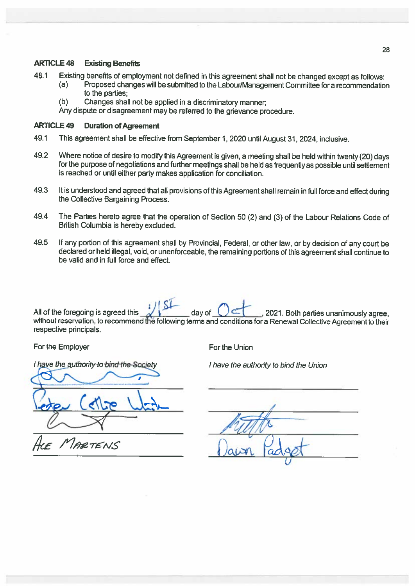#### **ARTICLE 48 Existing Benefits**

- 48.1 Existing benefits of employment not defined in this agreement shall not be changed except as follows:
	- Proposed changes will be submitted to the Labour/Management Committee for a recommendation  $(a)$ to the parties:
	- $(b)$ Changes shall not be applied in a discriminatory manner;

Any dispute or disagreement may be referred to the grievance procedure.

#### **ARTICLE 49 Duration of Agreement**

- 49.1 This agreement shall be effective from September 1, 2020 until August 31, 2024, inclusive.
- 49.2 Where notice of desire to modify this Agreement is given, a meeting shall be held within twenty (20) days for the purpose of negotiations and further meetings shall be held as frequently as possible until settlement is reached or until either party makes application for conciliation.
- 49.3 It is understood and agreed that all provisions of this Agreement shall remain in full force and effect during the Collective Bargaining Process.
- The Parties hereto agree that the operation of Section 50 (2) and (3) of the Labour Relations Code of 49.4 British Columbia is hereby excluded.
- 49.5 If any portion of this agreement shall by Provincial, Federal, or other law, or by decision of any court be declared or held illegal, void, or unenforceable, the remaining portions of this agreement shall continue to be valid and in full force and effect.

All of the foregoing is agreed this 2021. Both parties unanimously agree. day of without reservation, to recommend the following terms and conditions for a Renewal Collective Agreement to their respective principals.

For the Employer

For the Union

I have the authority to bind the Society

I have the authority to bind the Union

F MARTENS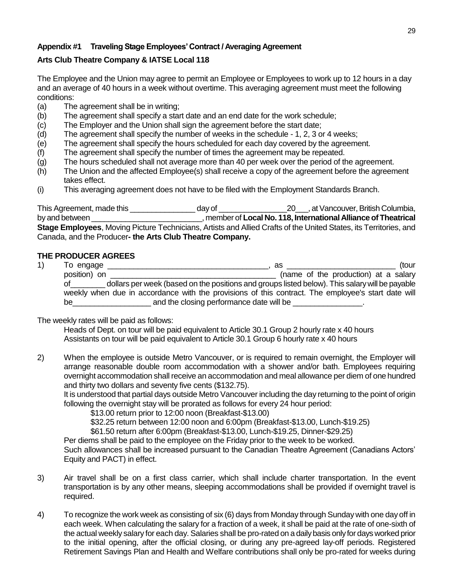# **Appendix #1 Traveling Stage Employees' Contract / Averaging Agreement**

# **Arts Club Theatre Company & IATSE Local 118**

The Employee and the Union may agree to permit an Employee or Employees to work up to 12 hours in a day and an average of 40 hours in a week without overtime. This averaging agreement must meet the following conditions:

- (a) The agreement shall be in writing;
- (b) The agreement shall specify a start date and an end date for the work schedule;
- (c) The Employer and the Union shall sign the agreement before the start date;
- (d) The agreement shall specify the number of weeks in the schedule 1, 2, 3 or 4 weeks;
- (e) The agreement shall specify the hours scheduled for each day covered by the agreement.
- (f) The agreement shall specify the number of times the agreement may be repeated.
- (g) The hours scheduled shall not average more than 40 per week over the period of the agreement.
- (h) The Union and the affected Employee(s) shall receive a copy of the agreement before the agreement takes effect.
- (i) This averaging agreement does not have to be filed with the Employment Standards Branch.

This Agreement, made this \_\_\_\_\_\_\_\_\_\_\_\_\_\_\_\_\_\_\_\_ day of \_\_\_\_\_\_\_\_\_\_\_\_\_\_\_\_\_\_\_\_\_\_\_20\_\_\_, at Vancouver, British Columbia, by and between \_\_\_\_\_\_\_\_\_\_\_\_\_\_\_\_\_\_\_\_\_\_\_\_\_\_, member of **Local No. 118, International Alliance of Theatrical Stage Employees**, Moving Picture Technicians, Artists and Allied Crafts of the United States, its Territories, and Canada, and the Producer**- the Arts Club Theatre Company.**

# **THE PRODUCER AGREES**

1) To engage \_\_\_\_\_\_\_\_\_\_\_\_\_\_\_\_\_\_\_\_\_\_\_\_\_\_\_\_\_\_\_\_\_\_\_\_\_, as \_\_\_\_\_\_\_\_\_\_\_\_\_\_\_\_\_\_\_\_\_\_\_\_\_ (tour position) on \_\_\_\_\_\_\_\_\_\_\_\_\_\_\_\_\_\_\_\_\_\_\_\_\_\_\_\_\_\_\_\_\_\_\_\_\_\_ (name of the production) at a salary of\_\_\_\_\_\_\_\_ dollars per week (based on the positions and groups listed below). This salary will be payable weekly when due in accordance with the provisions of this contract. The employee's start date will be\_\_\_\_\_\_\_\_\_\_\_\_\_\_\_\_\_\_ and the closing performance date will be \_\_\_\_\_\_\_\_\_\_\_\_\_\_\_\_.

The weekly rates will be paid as follows:

Heads of Dept. on tour will be paid equivalent to Article 30.1 Group 2 hourly rate x 40 hours Assistants on tour will be paid equivalent to Article 30.1 Group 6 hourly rate x 40 hours

2) When the employee is outside Metro Vancouver, or is required to remain overnight, the Employer will arrange reasonable double room accommodation with a shower and/or bath. Employees requiring overnight accommodation shall receive an accommodation and meal allowance per diem of one hundred and thirty two dollars and seventy five cents (\$132.75).

It is understood that partial days outside Metro Vancouver including the day returning to the point of origin following the overnight stay will be prorated as follows for every 24 hour period:

\$13.00 return prior to 12:00 noon (Breakfast-\$13.00)

\$32.25 return between 12:00 noon and 6:00pm (Breakfast-\$13.00, Lunch-\$19.25)

\$61.50 return after 6:00pm (Breakfast-\$13.00, Lunch-\$19.25, Dinner-\$29.25)

Per diems shall be paid to the employee on the Friday prior to the week to be worked.

Such allowances shall be increased pursuant to the Canadian Theatre Agreement (Canadians Actors' Equity and PACT) in effect.

- 3) Air travel shall be on a first class carrier, which shall include charter transportation. In the event transportation is by any other means, sleeping accommodations shall be provided if overnight travel is required.
- 4) To recognize the work week as consisting of six (6) days from Monday through Sunday with one day off in each week. When calculating the salary for a fraction of a week, it shall be paid at the rate of one-sixth of the actual weekly salary for each day. Salaries shall be pro-rated on a daily basis only for days worked prior to the initial opening, after the official closing, or during any pre-agreed lay-off periods. Registered Retirement Savings Plan and Health and Welfare contributions shall only be pro-rated for weeks during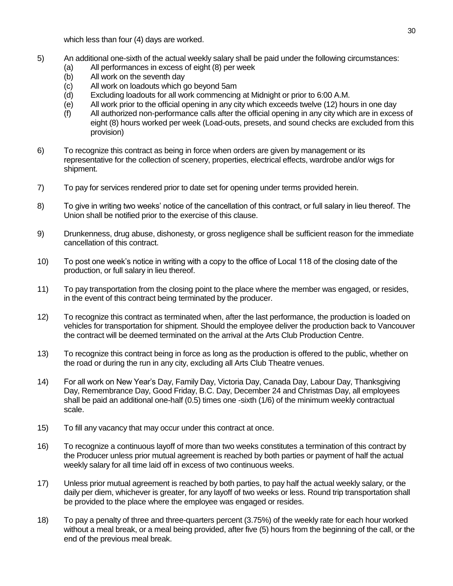which less than four (4) days are worked.

- 5) An additional one-sixth of the actual weekly salary shall be paid under the following circumstances:
	- (a) All performances in excess of eight (8) per week
	- (b) All work on the seventh day
	- (c) All work on loadouts which go beyond 5am
	- (d) Excluding loadouts for all work commencing at Midnight or prior to 6:00 A.M.
	- (e) All work prior to the official opening in any city which exceeds twelve (12) hours in one day
	- (f) All authorized non-performance calls after the official opening in any city which are in excess of eight (8) hours worked per week (Load-outs, presets, and sound checks are excluded from this provision)
- 6) To recognize this contract as being in force when orders are given by management or its representative for the collection of scenery, properties, electrical effects, wardrobe and/or wigs for shipment.
- 7) To pay for services rendered prior to date set for opening under terms provided herein.
- 8) To give in writing two weeks' notice of the cancellation of this contract, or full salary in lieu thereof. The Union shall be notified prior to the exercise of this clause.
- 9) Drunkenness, drug abuse, dishonesty, or gross negligence shall be sufficient reason for the immediate cancellation of this contract.
- 10) To post one week's notice in writing with a copy to the office of Local 118 of the closing date of the production, or full salary in lieu thereof.
- 11) To pay transportation from the closing point to the place where the member was engaged, or resides, in the event of this contract being terminated by the producer.
- 12) To recognize this contract as terminated when, after the last performance, the production is loaded on vehicles for transportation for shipment. Should the employee deliver the production back to Vancouver the contract will be deemed terminated on the arrival at the Arts Club Production Centre.
- 13) To recognize this contract being in force as long as the production is offered to the public, whether on the road or during the run in any city, excluding all Arts Club Theatre venues.
- 14) For all work on New Year's Day, Family Day, Victoria Day, Canada Day, Labour Day, Thanksgiving Day, Remembrance Day, Good Friday, B.C. Day, December 24 and Christmas Day, all employees shall be paid an additional one-half (0.5) times one -sixth (1/6) of the minimum weekly contractual scale.
- 15) To fill any vacancy that may occur under this contract at once.
- 16) To recognize a continuous layoff of more than two weeks constitutes a termination of this contract by the Producer unless prior mutual agreement is reached by both parties or payment of half the actual weekly salary for all time laid off in excess of two continuous weeks.
- 17) Unless prior mutual agreement is reached by both parties, to pay half the actual weekly salary, or the daily per diem, whichever is greater, for any layoff of two weeks or less. Round trip transportation shall be provided to the place where the employee was engaged or resides.
- 18) To pay a penalty of three and three-quarters percent (3.75%) of the weekly rate for each hour worked without a meal break, or a meal being provided, after five (5) hours from the beginning of the call, or the end of the previous meal break.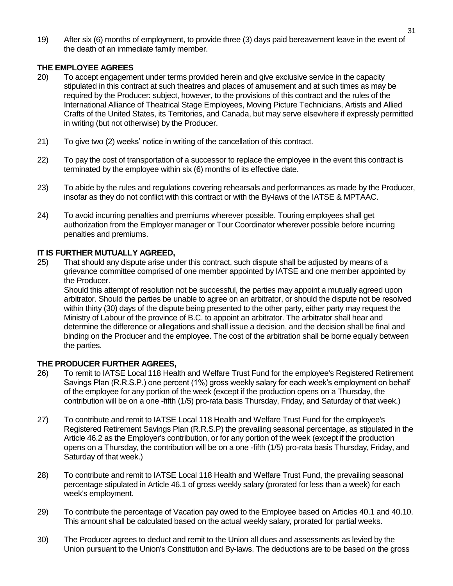19) After six (6) months of employment, to provide three (3) days paid bereavement leave in the event of the death of an immediate family member.

# **THE EMPLOYEE AGREES**

- 20) To accept engagement under terms provided herein and give exclusive service in the capacity stipulated in this contract at such theatres and places of amusement and at such times as may be required by the Producer: subject, however, to the provisions of this contract and the rules of the International Alliance of Theatrical Stage Employees, Moving Picture Technicians, Artists and Allied Crafts of the United States, its Territories, and Canada, but may serve elsewhere if expressly permitted in writing (but not otherwise) by the Producer.
- 21) To give two (2) weeks' notice in writing of the cancellation of this contract.
- 22) To pay the cost of transportation of a successor to replace the employee in the event this contract is terminated by the employee within six (6) months of its effective date.
- 23) To abide by the rules and regulations covering rehearsals and performances as made by the Producer, insofar as they do not conflict with this contract or with the By-laws of the IATSE & MPTAAC.
- 24) To avoid incurring penalties and premiums wherever possible. Touring employees shall get authorization from the Employer manager or Tour Coordinator wherever possible before incurring penalties and premiums.

# **IT IS FURTHER MUTUALLY AGREED,**

25) That should any dispute arise under this contract, such dispute shall be adjusted by means of a grievance committee comprised of one member appointed by IATSE and one member appointed by the Producer.

Should this attempt of resolution not be successful, the parties may appoint a mutually agreed upon arbitrator. Should the parties be unable to agree on an arbitrator, or should the dispute not be resolved within thirty (30) days of the dispute being presented to the other party, either party may request the Ministry of Labour of the province of B.C. to appoint an arbitrator. The arbitrator shall hear and determine the difference or allegations and shall issue a decision, and the decision shall be final and binding on the Producer and the employee. The cost of the arbitration shall be borne equally between the parties.

# **THE PRODUCER FURTHER AGREES,**

- 26) To remit to IATSE Local 118 Health and Welfare Trust Fund for the employee's Registered Retirement Savings Plan (R.R.S.P.) one percent (1%) gross weekly salary for each week's employment on behalf of the employee for any portion of the week (except if the production opens on a Thursday, the contribution will be on a one -fifth (1/5) pro-rata basis Thursday, Friday, and Saturday of that week.)
- 27) To contribute and remit to IATSE Local 118 Health and Welfare Trust Fund for the employee's Registered Retirement Savings Plan (R.R.S.P) the prevailing seasonal percentage, as stipulated in the Article 46.2 as the Employer's contribution, or for any portion of the week (except if the production opens on a Thursday, the contribution will be on a one -fifth (1/5) pro-rata basis Thursday, Friday, and Saturday of that week.)
- 28) To contribute and remit to IATSE Local 118 Health and Welfare Trust Fund, the prevailing seasonal percentage stipulated in Article 46.1 of gross weekly salary (prorated for less than a week) for each week's employment.
- 29) To contribute the percentage of Vacation pay owed to the Employee based on Articles 40.1 and 40.10. This amount shall be calculated based on the actual weekly salary, prorated for partial weeks.
- 30) The Producer agrees to deduct and remit to the Union all dues and assessments as levied by the Union pursuant to the Union's Constitution and By-laws. The deductions are to be based on the gross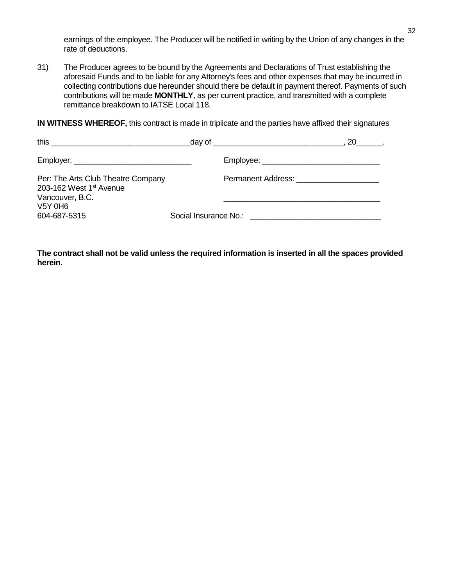earnings of the employee. The Producer will be notified in writing by the Union of any changes in the rate of deductions.

31) The Producer agrees to be bound by the Agreements and Declarations of Trust establishing the aforesaid Funds and to be liable for any Attorney's fees and other expenses that may be incurred in collecting contributions due hereunder should there be default in payment thereof. Payments of such contributions will be made **MONTHLY**, as per current practice, and transmitted with a complete remittance breakdown to IATSE Local 118.

**IN WITNESS WHEREOF,** this contract is made in triplicate and the parties have affixed their signatures

|                                                                                                                | _day of ____________________________      | 20 |
|----------------------------------------------------------------------------------------------------------------|-------------------------------------------|----|
| Employer: __________________________________                                                                   | Employee: _______________________________ |    |
| Per: The Arts Club Theatre Company<br>203-162 West 1 <sup>st</sup> Avenue<br>Vancouver, B.C.<br><b>V5Y 0H6</b> | <b>Permanent Address: Example 2014</b>    |    |
| 604-687-5315                                                                                                   |                                           |    |

**The contract shall not be valid unless the required information is inserted in all the spaces provided herein.**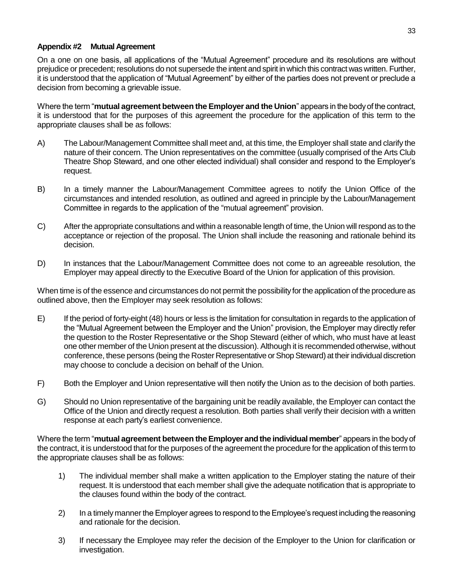## **Appendix #2 Mutual Agreement**

On a one on one basis, all applications of the "Mutual Agreement" procedure and its resolutions are without prejudice or precedent; resolutions do not supersede the intent and spirit in which this contract was written. Further, it is understood that the application of "Mutual Agreement" by either of the parties does not prevent or preclude a decision from becoming a grievable issue.

Where the term "**mutual agreement between the Employer and the Union**" appears in the body of the contract, it is understood that for the purposes of this agreement the procedure for the application of this term to the appropriate clauses shall be as follows:

- A) The Labour/Management Committee shall meet and, at this time, the Employer shall state and clarify the nature of their concern. The Union representatives on the committee (usually comprised of the Arts Club Theatre Shop Steward, and one other elected individual) shall consider and respond to the Employer's request.
- B) In a timely manner the Labour/Management Committee agrees to notify the Union Office of the circumstances and intended resolution, as outlined and agreed in principle by the Labour/Management Committee in regards to the application of the "mutual agreement" provision.
- C) After the appropriate consultations and within a reasonable length of time, the Union will respond as to the acceptance or rejection of the proposal. The Union shall include the reasoning and rationale behind its decision.
- D) In instances that the Labour/Management Committee does not come to an agreeable resolution, the Employer may appeal directly to the Executive Board of the Union for application of this provision.

When time is of the essence and circumstances do not permit the possibility for the application of the procedure as outlined above, then the Employer may seek resolution as follows:

- E) If the period of forty-eight (48) hours or less is the limitation for consultation in regards to the application of the "Mutual Agreement between the Employer and the Union" provision, the Employer may directly refer the question to the Roster Representative or the Shop Steward (either of which, who must have at least one other member of the Union present at the discussion). Although it is recommended otherwise, without conference, these persons (being the Roster Representative or Shop Steward) at their individual discretion may choose to conclude a decision on behalf of the Union.
- F) Both the Employer and Union representative will then notify the Union as to the decision of both parties.
- G) Should no Union representative of the bargaining unit be readily available, the Employer can contact the Office of the Union and directly request a resolution. Both parties shall verify their decision with a written response at each party's earliest convenience.

Where the term "**mutual agreement between the Employer and the individual member**" appears in the body of the contract, it is understood that for the purposes of the agreement the procedure for the application of this term to the appropriate clauses shall be as follows:

- 1) The individual member shall make a written application to the Employer stating the nature of their request. It is understood that each member shall give the adequate notification that is appropriate to the clauses found within the body of the contract.
- 2) In a timely manner the Employer agrees to respond to the Employee's request including the reasoning and rationale for the decision.
- 3) If necessary the Employee may refer the decision of the Employer to the Union for clarification or investigation.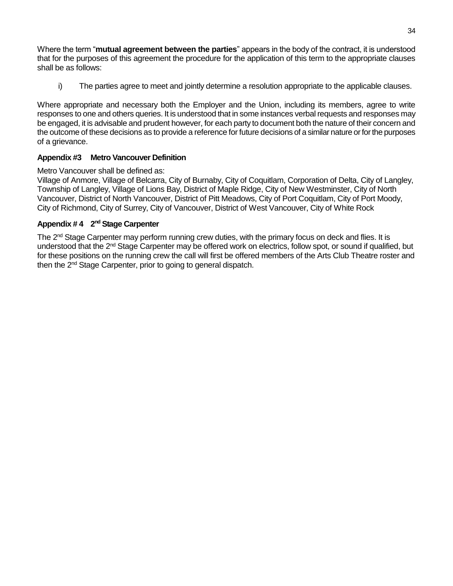Where the term "**mutual agreement between the parties**" appears in the body of the contract, it is understood that for the purposes of this agreement the procedure for the application of this term to the appropriate clauses shall be as follows:

i) The parties agree to meet and jointly determine a resolution appropriate to the applicable clauses.

Where appropriate and necessary both the Employer and the Union, including its members, agree to write responses to one and others queries. It is understood that in some instances verbal requests and responses may be engaged, it is advisable and prudent however, for each party to document both the nature of their concern and the outcome of these decisions as to provide a reference for future decisions of a similar nature or for the purposes of a grievance.

# **Appendix #3 Metro Vancouver Definition**

# Metro Vancouver shall be defined as:

Village of Anmore, Village of Belcarra, City of Burnaby, City of Coquitlam, Corporation of Delta, City of Langley, Township of Langley, Village of Lions Bay, District of Maple Ridge, City of New Westminster, City of North Vancouver, District of North Vancouver, District of Pitt Meadows, City of Port Coquitlam, City of Port Moody, City of Richmond, City of Surrey, City of Vancouver, District of West Vancouver, City of White Rock

# Appendix #4 2<sup>nd</sup> Stage Carpenter

The 2<sup>nd</sup> Stage Carpenter may perform running crew duties, with the primary focus on deck and flies. It is understood that the 2<sup>nd</sup> Stage Carpenter may be offered work on electrics, follow spot, or sound if qualified, but for these positions on the running crew the call will first be offered members of the Arts Club Theatre roster and then the 2<sup>nd</sup> Stage Carpenter, prior to going to general dispatch.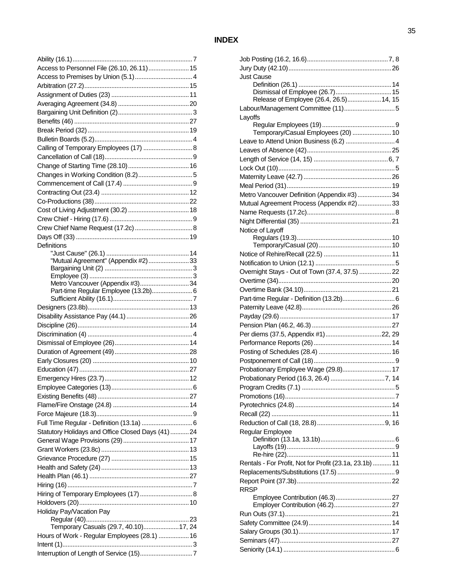| Access to Personnel File (26.10, 26.11) 15        |  |
|---------------------------------------------------|--|
|                                                   |  |
|                                                   |  |
|                                                   |  |
|                                                   |  |
|                                                   |  |
|                                                   |  |
|                                                   |  |
|                                                   |  |
| Calling of Temporary Employees (17)  8            |  |
|                                                   |  |
|                                                   |  |
|                                                   |  |
|                                                   |  |
|                                                   |  |
|                                                   |  |
|                                                   |  |
|                                                   |  |
|                                                   |  |
|                                                   |  |
| Definitions                                       |  |
|                                                   |  |
| "Mutual Agreement" (Appendix #2)33                |  |
|                                                   |  |
| Metro Vancouver (Appendix #3)34                   |  |
| Part-time Regular Employee (13.2b) 6              |  |
|                                                   |  |
|                                                   |  |
|                                                   |  |
|                                                   |  |
|                                                   |  |
|                                                   |  |
|                                                   |  |
|                                                   |  |
|                                                   |  |
|                                                   |  |
|                                                   |  |
|                                                   |  |
|                                                   |  |
|                                                   |  |
|                                                   |  |
| Statutory Holidays and Office Closed Days (41) 24 |  |
|                                                   |  |
|                                                   |  |
|                                                   |  |
|                                                   |  |
|                                                   |  |
|                                                   |  |
| Hiring of Temporary Employees (17)  8             |  |
|                                                   |  |
| Holiday Pay/Vacation Pay                          |  |
| Regular (40)                                      |  |
| Temporary Casuals (29.7, 40.10)17, 24             |  |
| Hours of Work - Regular Employees (28.1)  16      |  |
|                                                   |  |
|                                                   |  |

| <b>Just Cause</b>                                       |
|---------------------------------------------------------|
|                                                         |
| Dismissal of Employee (26.7) 15                         |
| Release of Employee (26.4, 26.5)14, 15                  |
| Labour/Management Committee (11) 5                      |
| Layoffs                                                 |
|                                                         |
| Temporary/Casual Employees (20)  10                     |
| Leave to Attend Union Business (6.2)  4                 |
|                                                         |
|                                                         |
|                                                         |
|                                                         |
|                                                         |
|                                                         |
| Metro Vancouver Definition (Appendix #3) 34             |
| Mutual Agreement Process (Appendix #2)33                |
|                                                         |
|                                                         |
| Notice of Layoff                                        |
|                                                         |
|                                                         |
|                                                         |
|                                                         |
| Overnight Stays - Out of Town (37.4, 37.5)  22          |
|                                                         |
|                                                         |
|                                                         |
|                                                         |
|                                                         |
|                                                         |
|                                                         |
|                                                         |
|                                                         |
|                                                         |
| Probationary Employee Wage (29.8) 17                    |
|                                                         |
|                                                         |
|                                                         |
|                                                         |
|                                                         |
|                                                         |
|                                                         |
| Regular Employee                                        |
|                                                         |
|                                                         |
|                                                         |
|                                                         |
| Rentals - For Profit, Not for Profit (23.1a, 23.1b)  11 |
|                                                         |
| <b>RRSP</b>                                             |
|                                                         |
|                                                         |
|                                                         |
|                                                         |
|                                                         |
|                                                         |